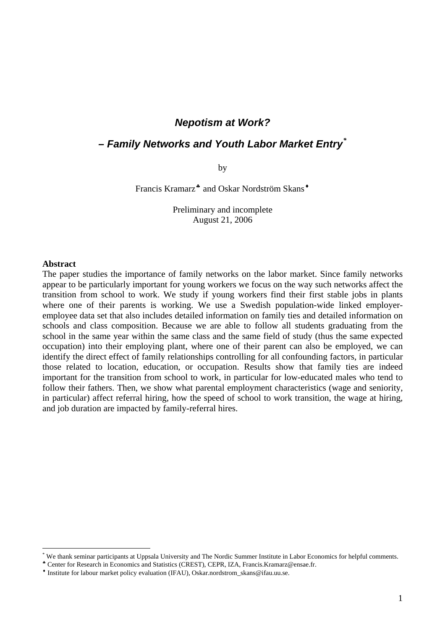#### *Nepotism at Work?*

### *– Family Networks and Youth Labor Market Entry[\\*](#page-0-0)*

by

Francis Kramarz<sup>\*</sup> and Oskar Nordström Skans<sup>\*</sup>

Preliminary and incomplete August 21, 2006

#### **Abstract**

 $\overline{a}$ 

The paper studies the importance of family networks on the labor market. Since family networks appear to be particularly important for young workers we focus on the way such networks affect the transition from school to work. We study if young workers find their first stable jobs in plants where one of their parents is working. We use a Swedish population-wide linked employeremployee data set that also includes detailed information on family ties and detailed information on schools and class composition. Because we are able to follow all students graduating from the school in the same year within the same class and the same field of study (thus the same expected occupation) into their employing plant, where one of their parent can also be employed, we can identify the direct effect of family relationships controlling for all confounding factors, in particular those related to location, education, or occupation. Results show that family ties are indeed important for the transition from school to work, in particular for low-educated males who tend to follow their fathers. Then, we show what parental employment characteristics (wage and seniority, in particular) affect referral hiring, how the speed of school to work transition, the wage at hiring, and job duration are impacted by family-referral hires.

<span id="page-0-0"></span><sup>\*</sup> We thank seminar participants at Uppsala University and The Nordic Summer Institute in Labor Economics for helpful comments.

<span id="page-0-1"></span><sup>♣</sup> Center for Research in Economics and Statistics (CREST), CEPR, IZA, Francis.Kramarz@ensae.fr.

<span id="page-0-2"></span><sup>♦</sup> Institute for labour market policy evaluation (IFAU), [Oskar.nordstrom\\_skans@ifau.uu.se.](mailto:Oskar.nordstrom_skans@ifau.uu.se)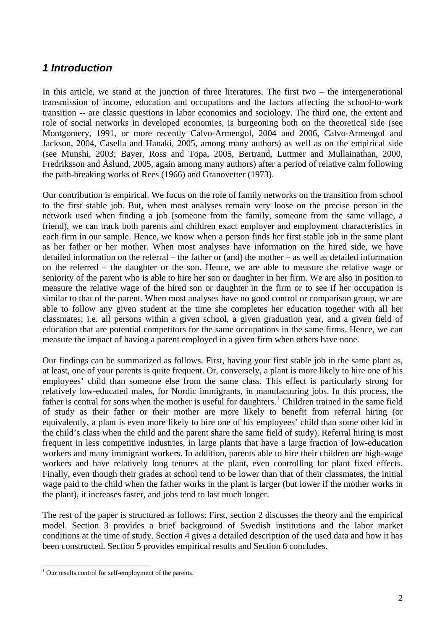# *1 Introduction*

In this article, we stand at the junction of three literatures. The first two – the intergenerational transmission of income, education and occupations and the factors affecting the school-to-work transition -- are classic questions in labor economics and sociology. The third one, the extent and role of social networks in developed economies, is burgeoning both on the theoretical side (see Montgomery, 1991, or more recently Calvo-Armengol, 2004 and 2006, Calvo-Armengol and Jackson, 2004, Casella and Hanaki, 2005, among many authors) as well as on the empirical side (see Munshi, 2003; Bayer, Ross and Topa, 2005, Bertrand, Luttmer and Mullainathan, 2000, Fredriksson and Åslund, 2005, again among many authors) after a period of relative calm following the path-breaking works of Rees (1966) and Granovetter (1973).

Our contribution is empirical. We focus on the role of family networks on the transition from school to the first stable job. But, when most analyses remain very loose on the precise person in the network used when finding a job (someone from the family, someone from the same village, a friend), we can track both parents and children exact employer and employment characteristics in each firm in our sample. Hence, we know when a person finds her first stable job in the same plant as her father or her mother. When most analyses have information on the hired side, we have detailed information on the referral – the father or (and) the mother – as well as detailed information on the referred – the daughter or the son. Hence, we are able to measure the relative wage or seniority of the parent who is able to hire her son or daughter in her firm. We are also in position to measure the relative wage of the hired son or daughter in the firm or to see if her occupation is similar to that of the parent. When most analyses have no good control or comparison group, we are able to follow any given student at the time she completes her education together with all her classmates; i.e. all persons within a given school, a given graduation year, and a given field of education that are potential competitors for the same occupations in the same firms. Hence, we can measure the impact of having a parent employed in a given firm when others have none.

Our findings can be summarized as follows. First, having your first stable job in the same plant as, at least, one of your parents is quite frequent. Or, conversely, a plant is more likely to hire one of his employees' child than someone else from the same class. This effect is particularly strong for relatively low-educated males, for Nordic immigrants, in manufacturing jobs. In this process, the father is central for sons when the mother is useful for daughters.<sup>[1](#page-1-0)</sup> Children trained in the same field of study as their father or their mother are more likely to benefit from referral hiring (or equivalently, a plant is even more likely to hire one of his employees' child than some other kid in the child's class when the child and the parent share the same field of study). Referral hiring is most frequent in less competitive industries, in large plants that have a large fraction of low-education workers and many immigrant workers. In addition, parents able to hire their children are high-wage workers and have relatively long tenures at the plant, even controlling for plant fixed effects. Finally, even though their grades at school tend to be lower than that of their classmates, the initial wage paid to the child when the father works in the plant is larger (but lower if the mother works in the plant), it increases faster, and jobs tend to last much longer.

The rest of the paper is structured as follows: First, section 2 discusses the theory and the empirical model. Section 3 provides a brief background of Swedish institutions and the labor market conditions at the time of study. Section 4 gives a detailed description of the used data and how it has been constructed. Section 5 provides empirical results and Section 6 concludes.

<span id="page-1-0"></span> 1 Our results control for self-employment of the parents.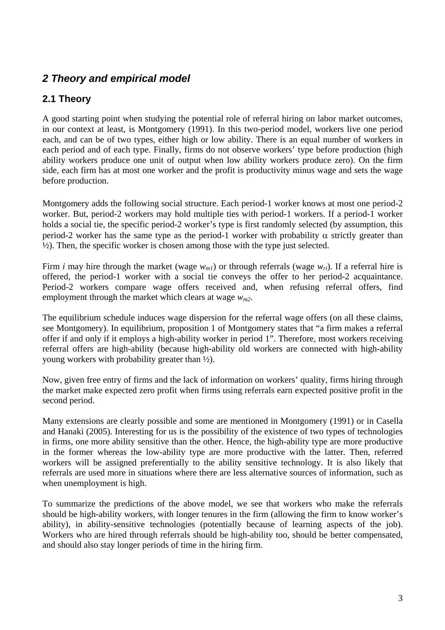# *2 Theory and empirical model*

# **2.1 Theory**

A good starting point when studying the potential role of referral hiring on labor market outcomes, in our context at least, is Montgomery (1991). In this two-period model, workers live one period each, and can be of two types, either high or low ability. There is an equal number of workers in each period and of each type. Finally, firms do not observe workers' type before production (high ability workers produce one unit of output when low ability workers produce zero). On the firm side, each firm has at most one worker and the profit is productivity minus wage and sets the wage before production.

Montgomery adds the following social structure. Each period-1 worker knows at most one period-2 worker. But, period-2 workers may hold multiple ties with period-1 workers. If a period-1 worker holds a social tie, the specific period-2 worker's type is first randomly selected (by assumption, this period-2 worker has the same type as the period-1 worker with probability α strictly greater than ½). Then, the specific worker is chosen among those with the type just selected.

Firm *i* may hire through the market (wage  $w_{mi}$ ) or through referrals (wage  $w_{ri}$ ). If a referral hire is offered, the period-1 worker with a social tie conveys the offer to her period-2 acquaintance. Period-2 workers compare wage offers received and, when refusing referral offers, find employment through the market which clears at wage *wm2*.

The equilibrium schedule induces wage dispersion for the referral wage offers (on all these claims, see Montgomery). In equilibrium, proposition 1 of Montgomery states that "a firm makes a referral offer if and only if it employs a high-ability worker in period 1". Therefore, most workers receiving referral offers are high-ability (because high-ability old workers are connected with high-ability young workers with probability greater than ½).

Now, given free entry of firms and the lack of information on workers' quality, firms hiring through the market make expected zero profit when firms using referrals earn expected positive profit in the second period.

Many extensions are clearly possible and some are mentioned in Montgomery (1991) or in Casella and Hanaki (2005). Interesting for us is the possibility of the existence of two types of technologies in firms, one more ability sensitive than the other. Hence, the high-ability type are more productive in the former whereas the low-ability type are more productive with the latter. Then, referred workers will be assigned preferentially to the ability sensitive technology. It is also likely that referrals are used more in situations where there are less alternative sources of information, such as when unemployment is high.

To summarize the predictions of the above model, we see that workers who make the referrals should be high-ability workers, with longer tenures in the firm (allowing the firm to know worker's ability), in ability-sensitive technologies (potentially because of learning aspects of the job). Workers who are hired through referrals should be high-ability too, should be better compensated, and should also stay longer periods of time in the hiring firm.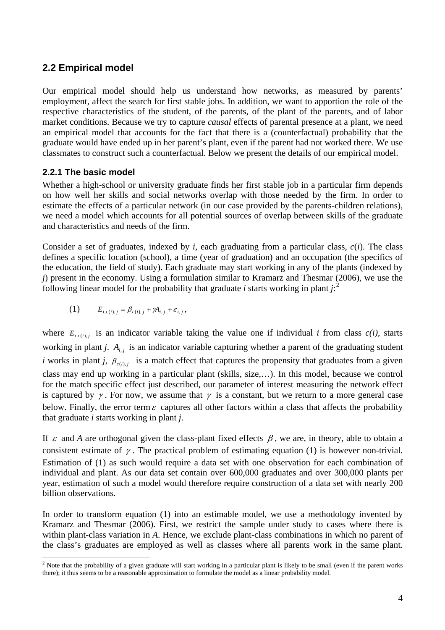## **2.2 Empirical model**

Our empirical model should help us understand how networks, as measured by parents' employment, affect the search for first stable jobs. In addition, we want to apportion the role of the respective characteristics of the student, of the parents, of the plant of the parents, and of labor market conditions. Because we try to capture *causal* effects of parental presence at a plant, we need an empirical model that accounts for the fact that there is a (counterfactual) probability that the graduate would have ended up in her parent's plant, even if the parent had not worked there. We use classmates to construct such a counterfactual. Below we present the details of our empirical model.

#### **2.2.1 The basic model**

Whether a high-school or university graduate finds her first stable job in a particular firm depends on how well her skills and social networks overlap with those needed by the firm. In order to estimate the effects of a particular network (in our case provided by the parents-children relations), we need a model which accounts for all potential sources of overlap between skills of the graduate and characteristics and needs of the firm.

Consider a set of graduates, indexed by *i*, each graduating from a particular class, *c*(*i*). The class defines a specific location (school), a time (year of graduation) and an occupation (the specifics of the education, the field of study). Each graduate may start working in any of the plants (indexed by *j*) present in the economy. Using a formulation similar to Kramarz and Thesmar (2006), we use the following linear model for the probability that graduate *i* starts working in plant  $j:$ <sup>[2](#page-3-0)</sup>

$$
(1) \t E_{i,c(i),j} = \beta_{c(i),j} + \gamma A_{i,j} + \varepsilon_{i,j},
$$

where  $E_{i,c(i),j}$  is an indicator variable taking the value one if individual *i* from class  $c(i)$ , starts working in plant *j*.  $A_{i,j}$  is an indicator variable capturing whether a parent of the graduating student *i* works in plant *j*,  $\beta_{c(i),j}$  is a match effect that captures the propensity that graduates from a given class may end up working in a particular plant (skills, size,…). In this model, because we control for the match specific effect just described, our parameter of interest measuring the network effect is captured by  $\gamma$ . For now, we assume that  $\gamma$  is a constant, but we return to a more general case below. Finally, the error term  $\varepsilon$  captures all other factors within a class that affects the probability that graduate *i* starts working in plant *j*.

If  $\varepsilon$  and *A* are orthogonal given the class-plant fixed effects  $\beta$ , we are, in theory, able to obtain a consistent estimate of  $\gamma$ . The practical problem of estimating equation (1) is however non-trivial. Estimation of (1) as such would require a data set with one observation for each combination of individual and plant. As our data set contain over 600,000 graduates and over 300,000 plants per year, estimation of such a model would therefore require construction of a data set with nearly 200 billion observations.

In order to transform equation (1) into an estimable model, we use a methodology invented by Kramarz and Thesmar (2006). First, we restrict the sample under study to cases where there is within plant-class variation in *A*. Hence, we exclude plant-class combinations in which no parent of the class's graduates are employed as well as classes where all parents work in the same plant.

<span id="page-3-0"></span><sup>&</sup>lt;sup>2</sup> Note that the probability of a given graduate will start working in a particular plant is likely to be small (even if the parent works there); it thus seems to be a reasonable approximation to formulate the model as a linear probability model.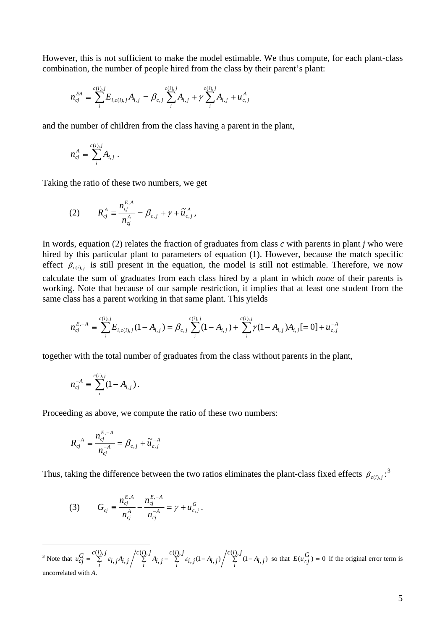However, this is not sufficient to make the model estimable. We thus compute, for each plant-class combination, the number of people hired from the class by their parent's plant:

$$
n_{cj}^{EA} \equiv \sum_{i}^{c(i),j} E_{i,c(i),j} A_{i,j} = \beta_{c,j} \sum_{i}^{c(i),j} A_{i,j} + \gamma \sum_{i}^{c(i),j} A_{i,j} + u_{c,j}^{A}
$$

and the number of children from the class having a parent in the plant,

$$
n_{cj}^A \equiv \sum_i^{c(i),j} A_{i,j} .
$$

Taking the ratio of these two numbers, we get

(2) 
$$
R_{cj}^{A} \equiv \frac{n_{cj}^{E, A}}{n_{cj}^{A}} = \beta_{c,j} + \gamma + \tilde{u}_{c,j}^{A},
$$

In words, equation (2) relates the fraction of graduates from class *c* with parents in plant *j* who were hired by this particular plant to parameters of equation (1). However, because the match specific effect  $\beta_{c(i),j}$  is still present in the equation, the model is still not estimable. Therefore, we now calculate the sum of graduates from each class hired by a plant in which *none* of their parents is working. Note that because of our sample restriction, it implies that at least one student from the same class has a parent working in that same plant. This yields

$$
n_{cj}^{E, -A} \equiv \sum_{i}^{c(i), j} E_{i, c(i), j} (1 - A_{i, j}) = \beta_{c, j} \sum_{i}^{c(i), j} (1 - A_{i, j}) + \sum_{i}^{c(i), j} \gamma (1 - A_{i, j}) A_{i, j} = 0 + u_{c, j}^{-A}
$$

together with the total number of graduates from the class without parents in the plant,

$$
n_{cj}^{-A} \equiv \sum_{i}^{c(i),j} (1 - A_{i,j}).
$$

Proceeding as above, we compute the ratio of these two numbers:

$$
R_{cj}^{-A} \equiv \frac{n_{cj}^{E, -A}}{n_{cj}^{-A}} = \beta_{c, j} + \widetilde{u}_{c, j}^{-A}
$$

Thus, taking the difference between the two ratios eliminates the plant-class fixed effects  $\beta_{c(i),j}$ :<sup>[3](#page-4-0)</sup>

(3) 
$$
G_{cj} \equiv \frac{n_{cj}^{E,A}}{n_{cj}^A} - \frac{n_{cj}^{E,-A}}{n_{cj}^{-A}} = \gamma + u_{c,j}^G.
$$

<span id="page-4-0"></span> $\overline{a}$ <sup>3</sup> Note that  $u_{Cj}^G = \sum_{i}^{C(i), j} \varepsilon_{i, j} A_{i, j} / \sum_{i}^{C(i), j} A_{i, j} - \sum_{i}^{C(i), j} \varepsilon_{i, j} (1 - A_{i, j}) / \sum_{i}^{C(i), j} (1 - A_{i, j})$  $c(i), j$  $\sum_{i}$ <sup>*z*</sup>  $\varepsilon_{i,j}$  (1 – A<sub>*i*, *j*</sub>  $c(i), j$  $\sum_{i}^{5} A_{i,j}$  $c(i), j$  $u_{cj}^G = \sum_{i}^{c(i), j} \varepsilon_{i, j} A_{i, j} / \sum_{i}^{c(i), j} A_{i, j} - \sum_{i}^{c(i), j} \varepsilon_{i, j} (1 - A_{i, j}) / \sum_{i}^{c(i), j} (1 - A_{i, j})$  $(i),$  $j(1 - A_{i,j})$  $(i),$ ,  $(i),$  $\varepsilon_{i,j} A_{i,j} \left/ \sum_{j=1}^{C(1),j} A_{i,j} - \sum_{j=1}^{C(1),j} \varepsilon_{i,j} (1-A_{i,j}) \right/ \sum_{j=1}^{C(1),j} (1-A_{i,j})$  so that  $E(u_{cj}^G) = 0$  if the original error term is uncorrelated with *A*.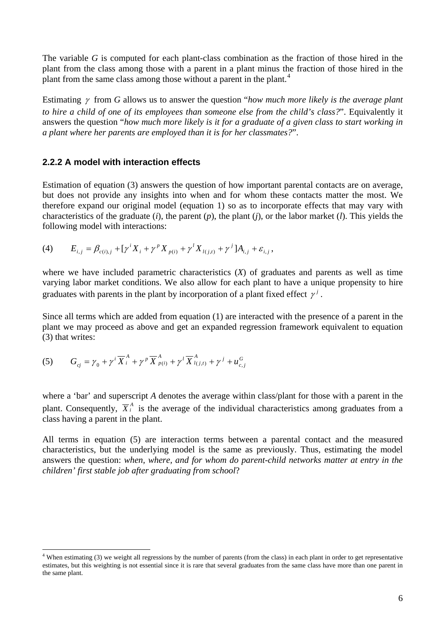The variable *G* is computed for each plant-class combination as the fraction of those hired in the plant from the class among those with a parent in a plant minus the fraction of those hired in the plant from the same class among those without a parent in the plant.<sup>[4](#page-5-0)</sup>

Estimating γ from *G* allows us to answer the question "*how much more likely is the average plant to hire a child of one of its employees than someone else from the child's class?".* Equivalently it answers the question "*how much more likely is it for a graduate of a given class to start working in a plant where her parents are employed than it is for her classmates?*".

#### **2.2.2 A model with interaction effects**

Estimation of equation (3) answers the question of how important parental contacts are on average, but does not provide any insights into when and for whom these contacts matter the most. We therefore expand our original model (equation 1) so as to incorporate effects that may vary with characteristics of the graduate (*i*), the parent (*p*), the plant (*j*), or the labor market (*l*). This yields the following model with interactions:

(4) 
$$
E_{i,j} = \beta_{c(i),j} + [\gamma^{i} X_{i} + \gamma^{p} X_{p(i)} + \gamma^{l} X_{l(j,t)} + \gamma^{j}] A_{i,j} + \varepsilon_{i,j},
$$

where we have included parametric characteristics  $(X)$  of graduates and parents as well as time varying labor market conditions. We also allow for each plant to have a unique propensity to hire graduates with parents in the plant by incorporation of a plant fixed effect  $\gamma^{j}$ .

Since all terms which are added from equation (1) are interacted with the presence of a parent in the plant we may proceed as above and get an expanded regression framework equivalent to equation (3) that writes:

(5) 
$$
G_{cj} = \gamma_0 + \gamma^i \overline{X}^A_i + \gamma^p \overline{X}^A_{p(i)} + \gamma^l \overline{X}^A_{l(j,t)} + \gamma^j + u^G_{c,j}
$$

 $\overline{a}$ 

where a 'bar' and superscript *A* denotes the average within class/plant for those with a parent in the plant. Consequently,  $\overline{X}_i^A$  is the average of the individual characteristics among graduates from a class having a parent in the plant.

All terms in equation (5) are interaction terms between a parental contact and the measured characteristics, but the underlying model is the same as previously. Thus, estimating the model answers the question: *when, where, and for whom do parent-child networks matter at entry in the children' first stable job after graduating from school*?

<span id="page-5-0"></span><sup>&</sup>lt;sup>4</sup> When estimating (3) we weight all regressions by the number of parents (from the class) in each plant in order to get representative estimates, but this weighting is not essential since it is rare that several graduates from the same class have more than one parent in the same plant.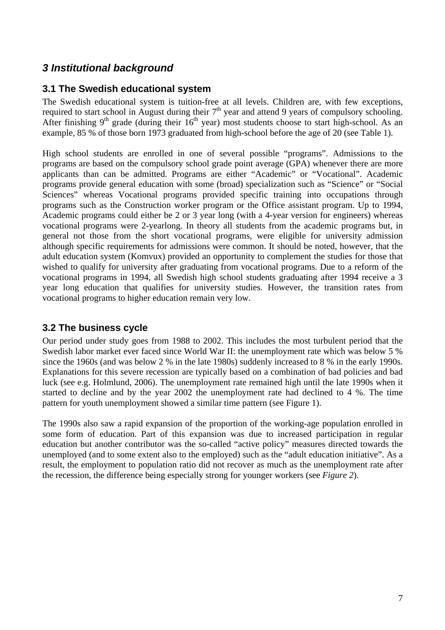# *3 Institutional background*

## **3.1 The Swedish educational system**

The Swedish educational system is tuition-free at all levels. Children are, with few exceptions, required to start school in August during their  $7<sup>th</sup>$  year and attend 9 years of compulsory schooling. After finishing  $9<sup>th</sup>$  grade (during their  $16<sup>th</sup>$  year) most students choose to start high-school. As an example, 85 % of those born 1973 graduated from high-school before the age of 20 (see Table 1).

High school students are enrolled in one of several possible "programs". Admissions to the programs are based on the compulsory school grade point average (GPA) whenever there are more applicants than can be admitted. Programs are either "Academic" or "Vocational". Academic programs provide general education with some (broad) specialization such as "Science" or "Social Sciences" whereas Vocational programs provided specific training into occupations through programs such as the Construction worker program or the Office assistant program. Up to 1994, Academic programs could either be 2 or 3 year long (with a 4-year version for engineers) whereas vocational programs were 2-yearlong. In theory all students from the academic programs but, in general not those from the short vocational programs, were eligible for university admission although specific requirements for admissions were common. It should be noted, however, that the adult education system (Komvux) provided an opportunity to complement the studies for those that wished to qualify for university after graduating from vocational programs. Due to a reform of the vocational programs in 1994, all Swedish high school students graduating after 1994 receive a 3 year long education that qualifies for university studies. However, the transition rates from vocational programs to higher education remain very low.

## **3.2 The business cycle**

Our period under study goes from 1988 to 2002. This includes the most turbulent period that the Swedish labor market ever faced since World War II: the unemployment rate which was below 5 % since the 1960s (and was below 2 % in the late 1980s) suddenly increased to 8 % in the early 1990s. Explanations for this severe recession are typically based on a combination of bad policies and bad luck (see e.g. Holmlund, 2006). The unemployment rate remained high until the late 1990s when it started to decline and by the year 2002 the unemployment rate had declined to 4 %. The time pattern for youth unemployment showed a similar time pattern (see Figure 1).

The 1990s also saw a rapid expansion of the proportion of the working-age population enrolled in some form of education. Part of this expansion was due to increased participation in regular education but another contributor was the so-called "active policy" measures directed towards the unemployed (and to some extent also to the employed) such as the "adult education initiative". As a result, the employment to population ratio did not recover as much as the unemployment rate after the recession, the difference being especially strong for younger workers (see *Figure 2*).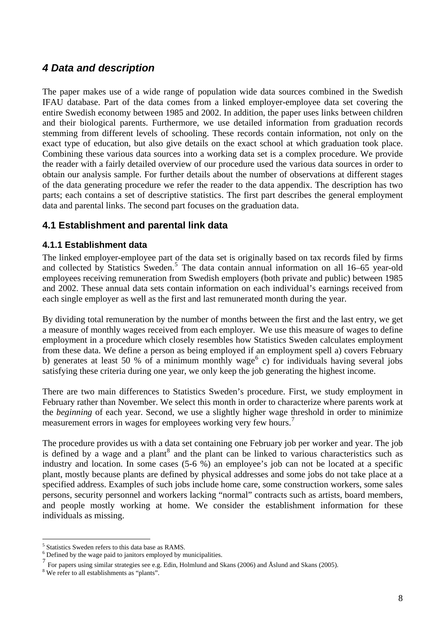# *4 Data and description*

The paper makes use of a wide range of population wide data sources combined in the Swedish IFAU database. Part of the data comes from a linked employer-employee data set covering the entire Swedish economy between 1985 and 2002. In addition, the paper uses links between children and their biological parents. Furthermore, we use detailed information from graduation records stemming from different levels of schooling. These records contain information, not only on the exact type of education, but also give details on the exact school at which graduation took place. Combining these various data sources into a working data set is a complex procedure. We provide the reader with a fairly detailed overview of our procedure used the various data sources in order to obtain our analysis sample. For further details about the number of observations at different stages of the data generating procedure we refer the reader to the data appendix. The description has two parts; each contains a set of descriptive statistics. The first part describes the general employment data and parental links. The second part focuses on the graduation data.

### **4.1 Establishment and parental link data**

#### **4.1.1 Establishment data**

The linked employer-employee part of the data set is originally based on tax records filed by firms and collected by Statistics Sweden.<sup>[5](#page-7-0)</sup> The data contain annual information on all 16–65 year-old employees receiving remuneration from Swedish employers (both private and public) between 1985 and 2002. These annual data sets contain information on each individual's earnings received from each single employer as well as the first and last remunerated month during the year.

By dividing total remuneration by the number of months between the first and the last entry, we get a measure of monthly wages received from each employer. We use this measure of wages to define employment in a procedure which closely resembles how Statistics Sweden calculates employment from these data. We define a person as being employed if an employment spell a) covers February b) generates at least 50 % of a minimum monthly wage<sup>[6](#page-7-1)</sup> c) for individuals having several jobs satisfying these criteria during one year, we only keep the job generating the highest income.

There are two main differences to Statistics Sweden's procedure. First, we study employment in February rather than November. We select this month in order to characterize where parents work at the *beginning* of each year. Second, we use a slightly higher wage threshold in order to minimize measurement errors in wages for employees working very few hours.<sup>[7](#page-7-2)</sup>

The procedure provides us with a data set containing one February job per worker and year. The job is defined by a wage and a plant $^8$  $^8$  and the plant can be linked to various characteristics such as industry and location. In some cases (5-6 %) an employee's job can not be located at a specific plant, mostly because plants are defined by physical addresses and some jobs do not take place at a specified address. Examples of such jobs include home care, some construction workers, some sales persons, security personnel and workers lacking "normal" contracts such as artists, board members, and people mostly working at home. We consider the establishment information for these individuals as missing.

 $\frac{5}{5}$  Statistics Sweden refers to this data base as RAMS.

<span id="page-7-1"></span><span id="page-7-0"></span><sup>&</sup>lt;sup>6</sup> Defined by the wage paid to janitors employed by municipalities.

<span id="page-7-2"></span><sup>7</sup> For papers using similar strategies see e.g. Edin, Holmlund and Skans (2006) and Åslund and Skans (2005).

<span id="page-7-3"></span><sup>&</sup>lt;sup>8</sup> We refer to all establishments as "plants".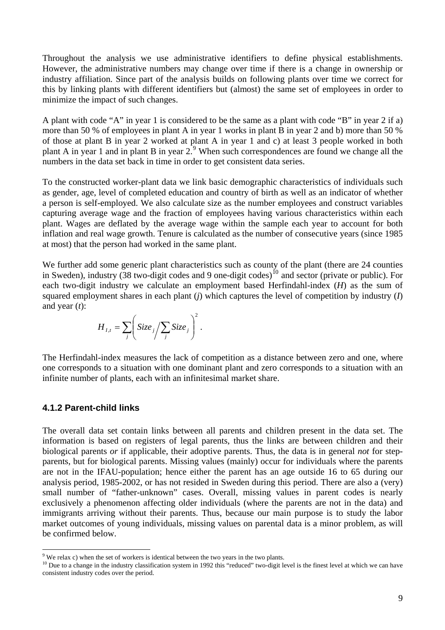Throughout the analysis we use administrative identifiers to define physical establishments. However, the administrative numbers may change over time if there is a change in ownership or industry affiliation. Since part of the analysis builds on following plants over time we correct for this by linking plants with different identifiers but (almost) the same set of employees in order to minimize the impact of such changes.

A plant with code "A" in year 1 is considered to be the same as a plant with code "B" in year 2 if a) more than 50 % of employees in plant A in year 1 works in plant B in year 2 and b) more than 50 % of those at plant B in year 2 worked at plant A in year 1 and c) at least 3 people worked in both plant A in year 1 and in plant B in year  $2^3$ . When such correspondences are found we change all the numbers in the data set back in time in order to get consistent data series.

To the constructed worker-plant data we link basic demographic characteristics of individuals such as gender, age, level of completed education and country of birth as well as an indicator of whether a person is self-employed. We also calculate size as the number employees and construct variables capturing average wage and the fraction of employees having various characteristics within each plant. Wages are deflated by the average wage within the sample each year to account for both inflation and real wage growth. Tenure is calculated as the number of consecutive years (since 1985 at most) that the person had worked in the same plant.

We further add some generic plant characteristics such as county of the plant (there are 24 counties in Sweden), industry  $(38 \text{ two-digit codes and } 9 \text{ one-digit codes})^{10}$  $(38 \text{ two-digit codes and } 9 \text{ one-digit codes})^{10}$  $(38 \text{ two-digit codes and } 9 \text{ one-digit codes})^{10}$  and sector (private or public). For each two-digit industry we calculate an employment based Herfindahl-index (*H*) as the sum of squared employment shares in each plant (*j*) which captures the level of competition by industry (*I*) and year (*t*):

$$
H_{I,t} = \sum_{j} \left( \text{Size}_j / \sum_{j} \text{Size}_j \right)^2.
$$

The Herfindahl-index measures the lack of competition as a distance between zero and one, where one corresponds to a situation with one dominant plant and zero corresponds to a situation with an infinite number of plants, each with an infinitesimal market share.

#### **4.1.2 Parent-child links**

The overall data set contain links between all parents and children present in the data set. The information is based on registers of legal parents, thus the links are between children and their biological parents *or* if applicable, their adoptive parents. Thus, the data is in general *not* for stepparents, but for biological parents. Missing values (mainly) occur for individuals where the parents are not in the IFAU-population; hence either the parent has an age outside 16 to 65 during our analysis period, 1985-2002, or has not resided in Sweden during this period. There are also a (very) small number of "father-unknown" cases. Overall, missing values in parent codes is nearly exclusively a phenomenon affecting older individuals (where the parents are not in the data) and immigrants arriving without their parents. Thus, because our main purpose is to study the labor market outcomes of young individuals, missing values on parental data is a minor problem, as will be confirmed below.

<sup>-&</sup>lt;br>9

<span id="page-8-1"></span><span id="page-8-0"></span><sup>&</sup>lt;sup>10</sup> Due to a change in the industry classification system in 1992 this "reduced" two-digit level is the finest level at which we can have consistent industry codes over the period.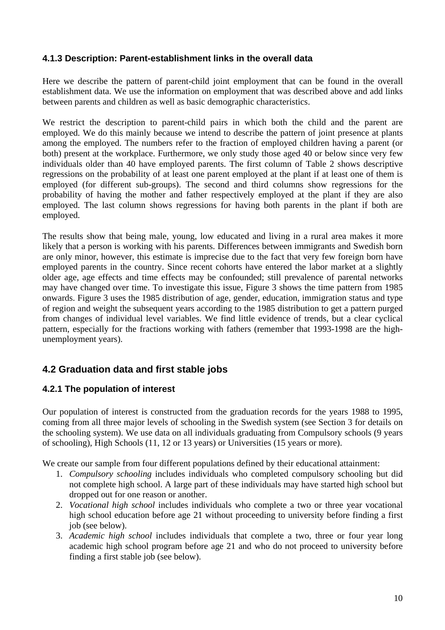#### **4.1.3 Description: Parent-establishment links in the overall data**

Here we describe the pattern of parent-child joint employment that can be found in the overall establishment data. We use the information on employment that was described above and add links between parents and children as well as basic demographic characteristics.

We restrict the description to parent-child pairs in which both the child and the parent are employed. We do this mainly because we intend to describe the pattern of joint presence at plants among the employed. The numbers refer to the fraction of employed children having a parent (or both) present at the workplace. Furthermore, we only study those aged 40 or below since very few individuals older than 40 have employed parents. The first column of Table 2 shows descriptive regressions on the probability of at least one parent employed at the plant if at least one of them is employed (for different sub-groups). The second and third columns show regressions for the probability of having the mother and father respectively employed at the plant if they are also employed. The last column shows regressions for having both parents in the plant if both are employed.

The results show that being male, young, low educated and living in a rural area makes it more likely that a person is working with his parents. Differences between immigrants and Swedish born are only minor, however, this estimate is imprecise due to the fact that very few foreign born have employed parents in the country. Since recent cohorts have entered the labor market at a slightly older age, age effects and time effects may be confounded; still prevalence of parental networks may have changed over time. To investigate this issue, Figure 3 shows the time pattern from 1985 onwards. Figure 3 uses the 1985 distribution of age, gender, education, immigration status and type of region and weight the subsequent years according to the 1985 distribution to get a pattern purged from changes of individual level variables. We find little evidence of trends, but a clear cyclical pattern, especially for the fractions working with fathers (remember that 1993-1998 are the highunemployment years).

## **4.2 Graduation data and first stable jobs**

#### **4.2.1 The population of interest**

Our population of interest is constructed from the graduation records for the years 1988 to 1995, coming from all three major levels of schooling in the Swedish system (see Section 3 for details on the schooling system). We use data on all individuals graduating from Compulsory schools (9 years of schooling), High Schools (11, 12 or 13 years) or Universities (15 years or more).

We create our sample from four different populations defined by their educational attainment:

- 1. *Compulsory schooling* includes individuals who completed compulsory schooling but did not complete high school. A large part of these individuals may have started high school but dropped out for one reason or another.
- 2. *Vocational high school* includes individuals who complete a two or three year vocational high school education before age 21 without proceeding to university before finding a first job (see below).
- 3. *Academic high school* includes individuals that complete a two, three or four year long academic high school program before age 21 and who do not proceed to university before finding a first stable job (see below).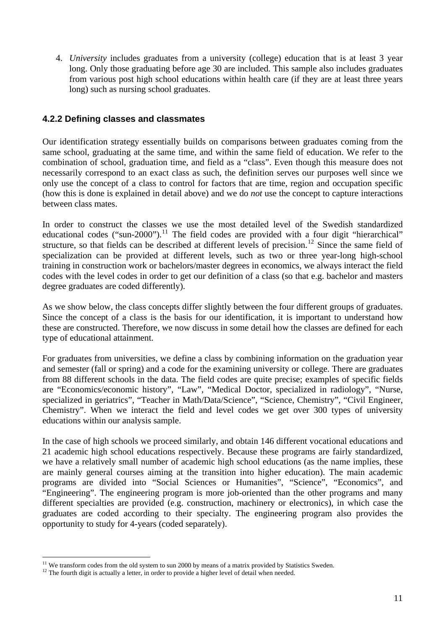4. *University* includes graduates from a university (college) education that is at least 3 year long. Only those graduating before age 30 are included. This sample also includes graduates from various post high school educations within health care (if they are at least three years long) such as nursing school graduates.

#### **4.2.2 Defining classes and classmates**

Our identification strategy essentially builds on comparisons between graduates coming from the same school, graduating at the same time, and within the same field of education. We refer to the combination of school, graduation time, and field as a "class". Even though this measure does not necessarily correspond to an exact class as such, the definition serves our purposes well since we only use the concept of a class to control for factors that are time, region and occupation specific (how this is done is explained in detail above) and we do *not* use the concept to capture interactions between class mates.

In order to construct the classes we use the most detailed level of the Swedish standardized educational codes ("sun-2000").<sup>[11](#page-10-0)</sup> The field codes are provided with a four digit "hierarchical" structure, so that fields can be described at different levels of precision.<sup>[12](#page-10-1)</sup> Since the same field of specialization can be provided at different levels, such as two or three year-long high-school training in construction work or bachelors/master degrees in economics, we always interact the field codes with the level codes in order to get our definition of a class (so that e.g. bachelor and masters degree graduates are coded differently).

As we show below, the class concepts differ slightly between the four different groups of graduates. Since the concept of a class is the basis for our identification, it is important to understand how these are constructed. Therefore, we now discuss in some detail how the classes are defined for each type of educational attainment.

For graduates from universities, we define a class by combining information on the graduation year and semester (fall or spring) and a code for the examining university or college. There are graduates from 88 different schools in the data. The field codes are quite precise; examples of specific fields are "Economics/economic history", "Law", "Medical Doctor, specialized in radiology", "Nurse, specialized in geriatrics", "Teacher in Math/Data/Science", "Science, Chemistry", "Civil Engineer, Chemistry". When we interact the field and level codes we get over 300 types of university educations within our analysis sample.

In the case of high schools we proceed similarly, and obtain 146 different vocational educations and 21 academic high school educations respectively. Because these programs are fairly standardized, we have a relatively small number of academic high school educations (as the name implies, these are mainly general courses aiming at the transition into higher education). The main academic programs are divided into "Social Sciences or Humanities", "Science", "Economics", and "Engineering". The engineering program is more job-oriented than the other programs and many different specialties are provided (e.g. construction, machinery or electronics), in which case the graduates are coded according to their specialty. The engineering program also provides the opportunity to study for 4-years (coded separately).

 $\overline{a}$ 

<span id="page-10-0"></span><sup>&</sup>lt;sup>11</sup> We transform codes from the old system to sun 2000 by means of a matrix provided by Statistics Sweden. <sup>12</sup> The fourth digit is actually a letter, in order to provide a higher level of detail when needed.

<span id="page-10-1"></span>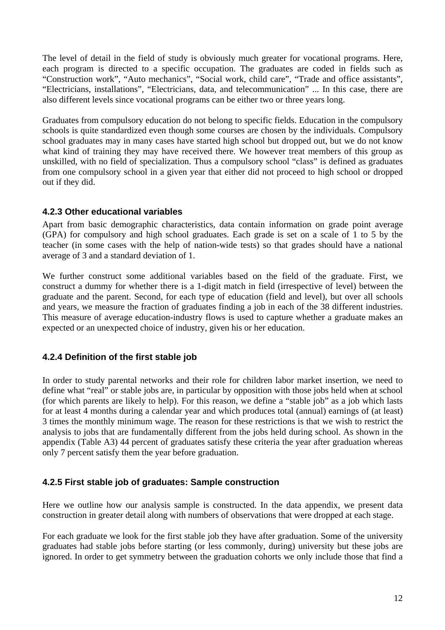The level of detail in the field of study is obviously much greater for vocational programs. Here, each program is directed to a specific occupation. The graduates are coded in fields such as "Construction work", "Auto mechanics", "Social work, child care", "Trade and office assistants", "Electricians, installations", "Electricians, data, and telecommunication" ... In this case, there are also different levels since vocational programs can be either two or three years long.

Graduates from compulsory education do not belong to specific fields. Education in the compulsory schools is quite standardized even though some courses are chosen by the individuals. Compulsory school graduates may in many cases have started high school but dropped out, but we do not know what kind of training they may have received there. We however treat members of this group as unskilled, with no field of specialization. Thus a compulsory school "class" is defined as graduates from one compulsory school in a given year that either did not proceed to high school or dropped out if they did.

#### **4.2.3 Other educational variables**

Apart from basic demographic characteristics, data contain information on grade point average (GPA) for compulsory and high school graduates. Each grade is set on a scale of 1 to 5 by the teacher (in some cases with the help of nation-wide tests) so that grades should have a national average of 3 and a standard deviation of 1.

We further construct some additional variables based on the field of the graduate. First, we construct a dummy for whether there is a 1-digit match in field (irrespective of level) between the graduate and the parent. Second, for each type of education (field and level), but over all schools and years, we measure the fraction of graduates finding a job in each of the 38 different industries. This measure of average education-industry flows is used to capture whether a graduate makes an expected or an unexpected choice of industry, given his or her education.

#### **4.2.4 Definition of the first stable job**

In order to study parental networks and their role for children labor market insertion, we need to define what "real" or stable jobs are, in particular by opposition with those jobs held when at school (for which parents are likely to help). For this reason, we define a "stable job" as a job which lasts for at least 4 months during a calendar year and which produces total (annual) earnings of (at least) 3 times the monthly minimum wage. The reason for these restrictions is that we wish to restrict the analysis to jobs that are fundamentally different from the jobs held during school. As shown in the appendix (Table A3) 44 percent of graduates satisfy these criteria the year after graduation whereas only 7 percent satisfy them the year before graduation.

#### **4.2.5 First stable job of graduates: Sample construction**

Here we outline how our analysis sample is constructed. In the data appendix, we present data construction in greater detail along with numbers of observations that were dropped at each stage.

For each graduate we look for the first stable job they have after graduation. Some of the university graduates had stable jobs before starting (or less commonly, during) university but these jobs are ignored. In order to get symmetry between the graduation cohorts we only include those that find a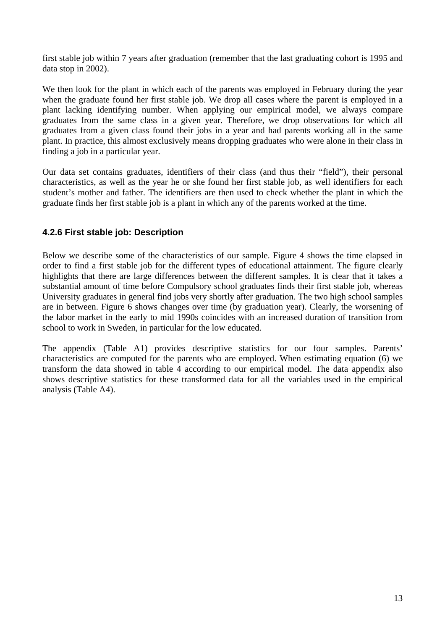first stable job within 7 years after graduation (remember that the last graduating cohort is 1995 and data stop in 2002).

We then look for the plant in which each of the parents was employed in February during the year when the graduate found her first stable job. We drop all cases where the parent is employed in a plant lacking identifying number. When applying our empirical model, we always compare graduates from the same class in a given year. Therefore, we drop observations for which all graduates from a given class found their jobs in a year and had parents working all in the same plant. In practice, this almost exclusively means dropping graduates who were alone in their class in finding a job in a particular year.

Our data set contains graduates, identifiers of their class (and thus their "field"), their personal characteristics, as well as the year he or she found her first stable job, as well identifiers for each student's mother and father. The identifiers are then used to check whether the plant in which the graduate finds her first stable job is a plant in which any of the parents worked at the time.

#### **4.2.6 First stable job: Description**

Below we describe some of the characteristics of our sample. Figure 4 shows the time elapsed in order to find a first stable job for the different types of educational attainment. The figure clearly highlights that there are large differences between the different samples. It is clear that it takes a substantial amount of time before Compulsory school graduates finds their first stable job, whereas University graduates in general find jobs very shortly after graduation. The two high school samples are in between. Figure 6 shows changes over time (by graduation year). Clearly, the worsening of the labor market in the early to mid 1990s coincides with an increased duration of transition from school to work in Sweden, in particular for the low educated.

The appendix (Table A1) provides descriptive statistics for our four samples. Parents' characteristics are computed for the parents who are employed. When estimating equation (6) we transform the data showed in table 4 according to our empirical model. The data appendix also shows descriptive statistics for these transformed data for all the variables used in the empirical analysis (Table A4).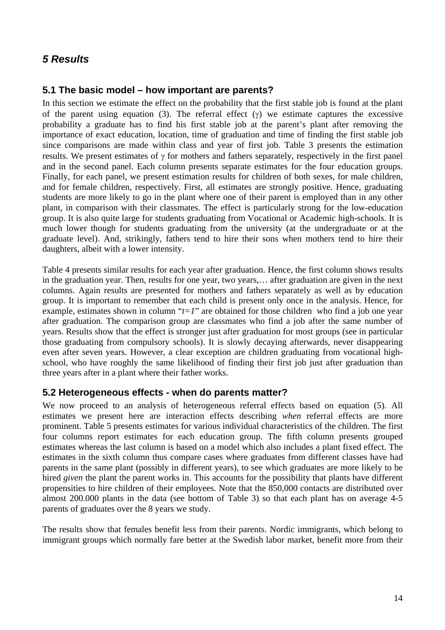# *5 Results*

### **5.1 The basic model – how important are parents?**

In this section we estimate the effect on the probability that the first stable job is found at the plant of the parent using equation (3). The referral effect  $(\gamma)$  we estimate captures the excessive probability a graduate has to find his first stable job at the parent's plant after removing the importance of exact education, location, time of graduation and time of finding the first stable job since comparisons are made within class and year of first job. Table 3 presents the estimation results. We present estimates of γ for mothers and fathers separately, respectively in the first panel and in the second panel. Each column presents separate estimates for the four education groups. Finally, for each panel, we present estimation results for children of both sexes, for male children, and for female children, respectively. First, all estimates are strongly positive. Hence, graduating students are more likely to go in the plant where one of their parent is employed than in any other plant, in comparison with their classmates. The effect is particularly strong for the low-education group. It is also quite large for students graduating from Vocational or Academic high-schools. It is much lower though for students graduating from the university (at the undergraduate or at the graduate level). And, strikingly, fathers tend to hire their sons when mothers tend to hire their daughters, albeit with a lower intensity.

Table 4 presents similar results for each year after graduation. Hence, the first column shows results in the graduation year. Then, results for one year, two years,… after graduation are given in the next columns. Again results are presented for mothers and fathers separately as well as by education group. It is important to remember that each child is present only once in the analysis. Hence, for example, estimates shown in column " $t=1$ " are obtained for those children who find a job one year after graduation. The comparison group are classmates who find a job after the same number of years. Results show that the effect is stronger just after graduation for most groups (see in particular those graduating from compulsory schools). It is slowly decaying afterwards, never disappearing even after seven years. However, a clear exception are children graduating from vocational highschool, who have roughly the same likelihood of finding their first job just after graduation than three years after in a plant where their father works.

#### **5.2 Heterogeneous effects - when do parents matter?**

We now proceed to an analysis of heterogeneous referral effects based on equation (5). All estimates we present here are interaction effects describing *when* referral effects are more prominent. Table 5 presents estimates for various individual characteristics of the children. The first four columns report estimates for each education group. The fifth column presents grouped estimates whereas the last column is based on a model which also includes a plant fixed effect. The estimates in the sixth column thus compare cases where graduates from different classes have had parents in the same plant (possibly in different years), to see which graduates are more likely to be hired *given* the plant the parent works in. This accounts for the possibility that plants have different propensities to hire children of their employees. Note that the 850,000 contacts are distributed over almost 200.000 plants in the data (see bottom of Table 3) so that each plant has on average 4-5 parents of graduates over the 8 years we study.

The results show that females benefit less from their parents. Nordic immigrants, which belong to immigrant groups which normally fare better at the Swedish labor market, benefit more from their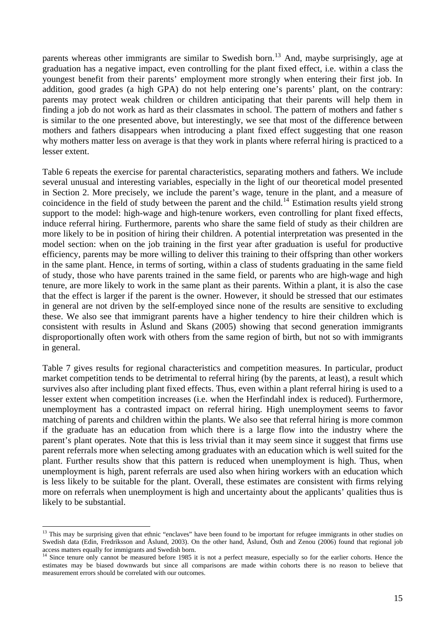parents whereas other immigrants are similar to Swedish born.<sup>[13](#page-14-0)</sup> And, maybe surprisingly, age at graduation has a negative impact, even controlling for the plant fixed effect, i.e. within a class the youngest benefit from their parents' employment more strongly when entering their first job. In addition, good grades (a high GPA) do not help entering one's parents' plant, on the contrary: parents may protect weak children or children anticipating that their parents will help them in finding a job do not work as hard as their classmates in school. The pattern of mothers and father s is similar to the one presented above, but interestingly, we see that most of the difference between mothers and fathers disappears when introducing a plant fixed effect suggesting that one reason why mothers matter less on average is that they work in plants where referral hiring is practiced to a lesser extent.

Table 6 repeats the exercise for parental characteristics, separating mothers and fathers. We include several unusual and interesting variables, especially in the light of our theoretical model presented in Section 2. More precisely, we include the parent's wage, tenure in the plant, and a measure of coincidence in the field of study between the parent and the child.<sup>[14](#page-14-1)</sup> Estimation results yield strong support to the model: high-wage and high-tenure workers, even controlling for plant fixed effects, induce referral hiring. Furthermore, parents who share the same field of study as their children are more likely to be in position of hiring their children. A potential interpretation was presented in the model section: when on the job training in the first year after graduation is useful for productive efficiency, parents may be more willing to deliver this training to their offspring than other workers in the same plant. Hence, in terms of sorting, within a class of students graduating in the same field of study, those who have parents trained in the same field, or parents who are high-wage and high tenure, are more likely to work in the same plant as their parents. Within a plant, it is also the case that the effect is larger if the parent is the owner. However, it should be stressed that our estimates in general are not driven by the self-employed since none of the results are sensitive to excluding these. We also see that immigrant parents have a higher tendency to hire their children which is consistent with results in Åslund and Skans (2005) showing that second generation immigrants disproportionally often work with others from the same region of birth, but not so with immigrants in general.

Table 7 gives results for regional characteristics and competition measures. In particular, product market competition tends to be detrimental to referral hiring (by the parents, at least), a result which survives also after including plant fixed effects. Thus, even within a plant referral hiring is used to a lesser extent when competition increases (i.e. when the Herfindahl index is reduced). Furthermore, unemployment has a contrasted impact on referral hiring. High unemployment seems to favor matching of parents and children within the plants. We also see that referral hiring is more common if the graduate has an education from which there is a large flow into the industry where the parent's plant operates. Note that this is less trivial than it may seem since it suggest that firms use parent referrals more when selecting among graduates with an education which is well suited for the plant. Further results show that this pattern is reduced when unemployment is high. Thus, when unemployment is high, parent referrals are used also when hiring workers with an education which is less likely to be suitable for the plant. Overall, these estimates are consistent with firms relying more on referrals when unemployment is high and uncertainty about the applicants' qualities thus is likely to be substantial.

 $\overline{a}$ 

<span id="page-14-0"></span> $13$  This may be surprising given that ethnic "enclaves" have been found to be important for refugee immigrants in other studies on Swedish data (Edin, Fredriksson and Åslund, 2003). On the other hand, Åslund, Östh and Zenou (2006) found that regional job access matters equally for immigrants and Swedish born.<br><sup>14</sup> Since tenure only cannot be measured before 1985 it is not a perfect measure, especially so for the earlier cohorts. Hence the

<span id="page-14-1"></span>estimates may be biased downwards but since all comparisons are made within cohorts there is no reason to believe that measurement errors should be correlated with our outcomes.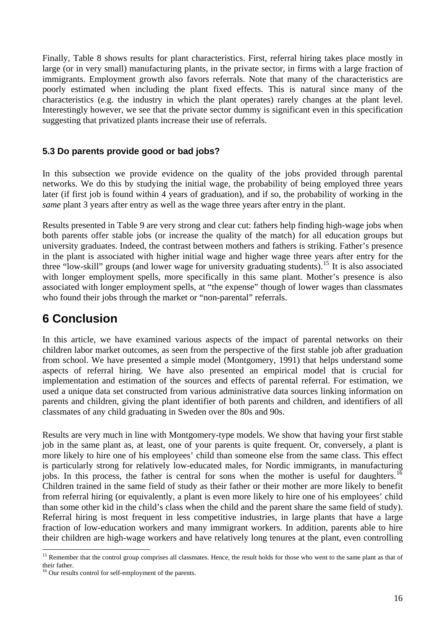Finally, Table 8 shows results for plant characteristics. First, referral hiring takes place mostly in large (or in very small) manufacturing plants, in the private sector, in firms with a large fraction of immigrants. Employment growth also favors referrals. Note that many of the characteristics are poorly estimated when including the plant fixed effects. This is natural since many of the characteristics (e.g. the industry in which the plant operates) rarely changes at the plant level. Interestingly however, we see that the private sector dummy is significant even in this specification suggesting that privatized plants increase their use of referrals.

### **5.3 Do parents provide good or bad jobs?**

In this subsection we provide evidence on the quality of the jobs provided through parental networks. We do this by studying the initial wage, the probability of being employed three years later (if first job is found within 4 years of graduation), and if so, the probability of working in the *same* plant 3 years after entry as well as the wage three years after entry in the plant.

Results presented in Table 9 are very strong and clear cut: fathers help finding high-wage jobs when both parents offer stable jobs (or increase the quality of the match) for all education groups but university graduates. Indeed, the contrast between mothers and fathers is striking. Father's presence in the plant is associated with higher initial wage and higher wage three years after entry for the three "low-skill" groups (and lower wage for university graduating students).[15](#page-15-0) It is also associated with longer employment spells, more specifically in this same plant. Mother's presence is also associated with longer employment spells, at "the expense" though of lower wages than classmates who found their jobs through the market or "non-parental" referrals.

# **6 Conclusion**

In this article, we have examined various aspects of the impact of parental networks on their children labor market outcomes, as seen from the perspective of the first stable job after graduation from school. We have presented a simple model (Montgomery, 1991) that helps understand some aspects of referral hiring. We have also presented an empirical model that is crucial for implementation and estimation of the sources and effects of parental referral. For estimation, we used a unique data set constructed from various administrative data sources linking information on parents and children, giving the plant identifier of both parents and children, and identifiers of all classmates of any child graduating in Sweden over the 80s and 90s.

Results are very much in line with Montgomery-type models. We show that having your first stable job in the same plant as, at least, one of your parents is quite frequent. Or, conversely, a plant is more likely to hire one of his employees' child than someone else from the same class. This effect is particularly strong for relatively low-educated males, for Nordic immigrants, in manufacturing jobs. In this process, the father is central for sons when the mother is useful for daughters.<sup>[16](#page-15-1)</sup> Children trained in the same field of study as their father or their mother are more likely to benefit from referral hiring (or equivalently, a plant is even more likely to hire one of his employees' child than some other kid in the child's class when the child and the parent share the same field of study). Referral hiring is most frequent in less competitive industries, in large plants that have a large fraction of low-education workers and many immigrant workers. In addition, parents able to hire their children are high-wage workers and have relatively long tenures at the plant, even controlling

 $\overline{a}$ 

<span id="page-15-0"></span><sup>&</sup>lt;sup>15</sup> Remember that the control group comprises all classmates. Hence, the result holds for those who went to the same plant as that of their father.

<span id="page-15-1"></span><sup>&</sup>lt;sup>16</sup> Our results control for self-employment of the parents.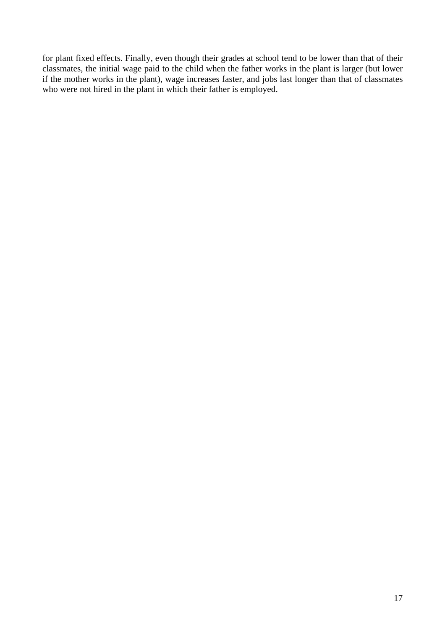for plant fixed effects. Finally, even though their grades at school tend to be lower than that of their classmates, the initial wage paid to the child when the father works in the plant is larger (but lower if the mother works in the plant), wage increases faster, and jobs last longer than that of classmates who were not hired in the plant in which their father is employed.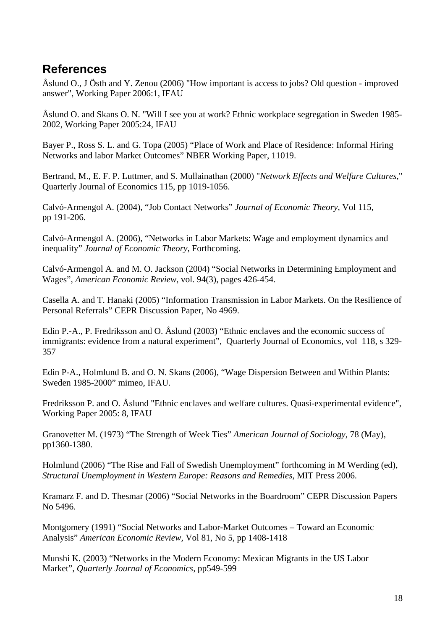# **References**

Åslund O., J Östh and Y. Zenou (2006) "How important is access to jobs? Old question - improved answer", Working Paper 2006:1, IFAU

Åslund O. and Skans O. N. "Will I see you at work? Ethnic workplace segregation in Sweden 1985- 2002, Working Paper 2005:24, IFAU

Bayer P., Ross S. L. and G. Topa (2005) "Place of Work and Place of Residence: Informal Hiring Networks and labor Market Outcomes" NBER Working Paper, 11019.

Bertrand, M., E. F. P. Luttmer, and S. Mullainathan (2000) "*Network Effects and Welfare Cultures*," Quarterly Journal of Economics 115, pp 1019-1056.

Calvó-Armengol A. (2004), "Job Contact Networks" *Journal of Economic Theory,* Vol 115, pp 191-206.

Calvó-Armengol A. (2006), "Networks in Labor Markets: Wage and employment dynamics and inequality" *Journal of Economic Theory,* Forthcoming.

Calvó-Armengol A. and M. O. Jackson (2004) "Social Networks in Determining Employment and Wages", *American Economic Review,* vol. 94(3), pages 426-454.

Casella A. and T. Hanaki (2005) "Information Transmission in Labor Markets. On the Resilience of Personal Referrals" CEPR Discussion Paper, No 4969.

Edin P.-A., P. Fredriksson and O. Åslund (2003) "Ethnic enclaves and the economic success of immigrants: evidence from a natural experiment", Quarterly Journal of Economics, vol 118, s 329-357

Edin P-A., Holmlund B. and O. N. Skans (2006), "Wage Dispersion Between and Within Plants: Sweden 1985-2000" mimeo, IFAU.

Fredriksson P. and O. Åslund "Ethnic enclaves and welfare cultures. Quasi-experimental evidence", Working Paper 2005: 8, IFAU

Granovetter M. (1973) "The Strength of Week Ties" *American Journal of Sociology,* 78 (May), pp1360-1380.

Holmlund (2006) "The Rise and Fall of Swedish Unemployment" forthcoming in M Werding (ed), *Structural Unemployment in Western Europe: Reasons and Remedies*, MIT Press 2006.

Kramarz F. and D. Thesmar (2006) "Social Networks in the Boardroom" CEPR Discussion Papers No 5496.

Montgomery (1991) "Social Networks and Labor-Market Outcomes – Toward an Economic Analysis" *American Economic Review,* Vol 81, No 5, pp 1408-1418

Munshi K. (2003) "Networks in the Modern Economy: Mexican Migrants in the US Labor Market", *Quarterly Journal of Economics,* pp549-599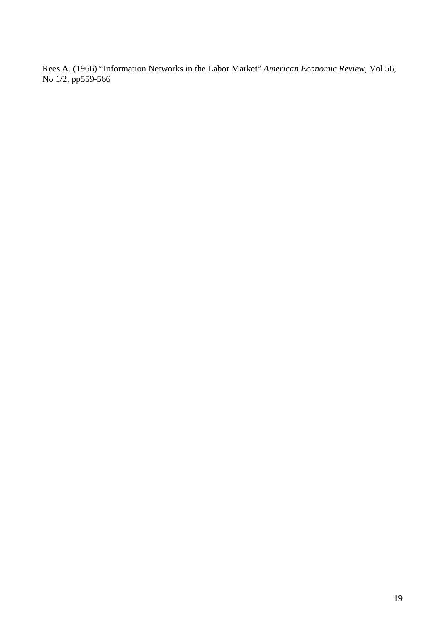Rees A. (1966) "Information Networks in the Labor Market" *American Economic Review,* Vol 56, No 1/2, pp559-566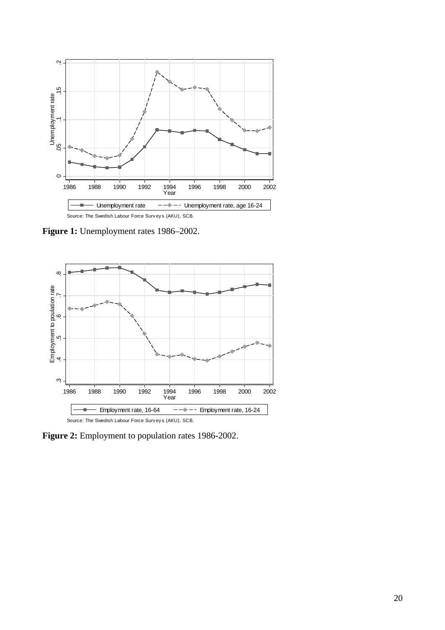

**Figure 1:** Unemployment rates 1986–2002.



Figure 2: Employment to population rates 1986-2002.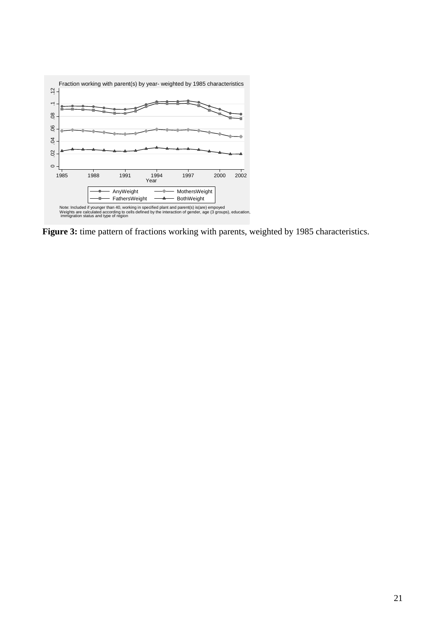

Figure 3: time pattern of fractions working with parents, weighted by 1985 characteristics.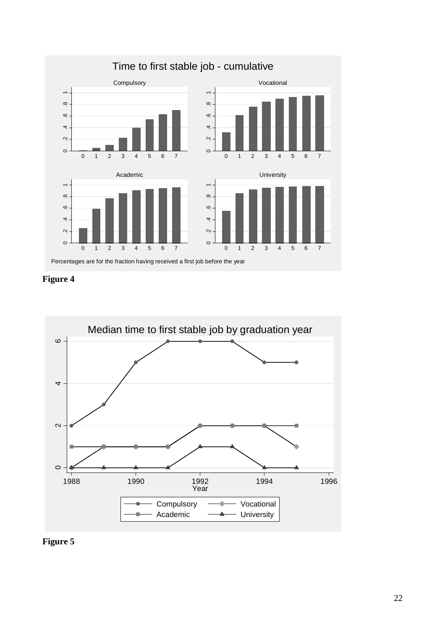

**Figure 4** 



**Figure 5**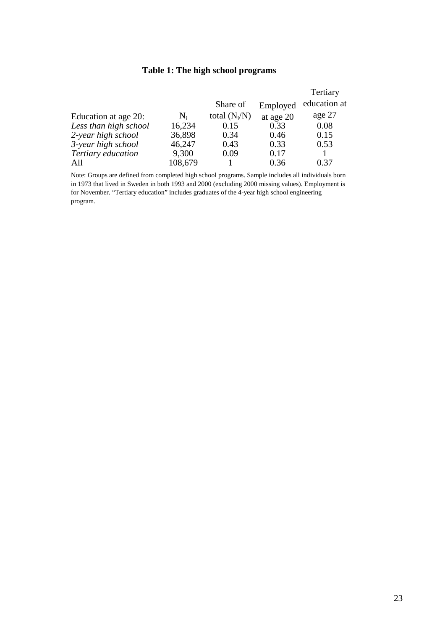### **Table 1: The high school programs**

|                       |                |                 |           | Tertiary     |
|-----------------------|----------------|-----------------|-----------|--------------|
|                       |                | Share of        | Employed  | education at |
| Education at age 20:  | $\mathbf{N}_i$ | total $(N_i/N)$ | at age 20 | age 27       |
| Less than high school | 16,234         | 0.15            | 0.33      | 0.08         |
| 2-year high school    | 36,898         | 0.34            | 0.46      | 0.15         |
| 3-year high school    | 46,247         | 0.43            | 0.33      | 0.53         |
| Tertiary education    | 9,300          | 0.09            | 0.17      |              |
| All                   | 108,679        |                 | 0.36      | 0.37         |

Note: Groups are defined from completed high school programs. Sample includes all individuals born in 1973 that lived in Sweden in both 1993 and 2000 (excluding 2000 missing values). Employment is for November. "Tertiary education" includes graduates of the 4-year high school engineering program.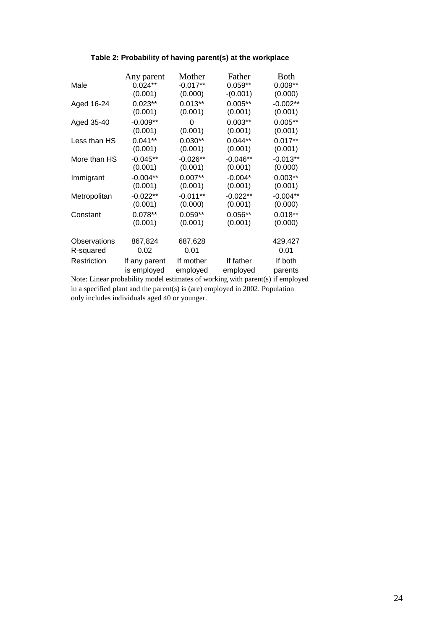#### **Table 2: Probability of having parent(s) at the workplace**

| Male         | Any parent    | Mother     | Father     | <b>Both</b> |
|--------------|---------------|------------|------------|-------------|
|              | $0.024**$     | $-0.017**$ | $0.059**$  | $0.009**$   |
| Aged 16-24   | (0.001)       | (0.000)    | $-(0.001)$ | (0.000)     |
|              | $0.023**$     | $0.013**$  | $0.005**$  | $-0.002**$  |
|              | (0.001)       | (0.001)    | (0.001)    | (0.001)     |
| Aged 35-40   | $-0.009**$    | 0          | $0.003**$  | $0.005**$   |
|              | (0.001)       | (0.001)    | (0.001)    | (0.001)     |
| Less than HS | $0.041**$     | $0.030**$  | $0.044**$  | $0.017**$   |
|              | (0.001)       | (0.001)    | (0.001)    | (0.001)     |
| More than HS | $-0.045**$    | $-0.026**$ | $-0.046**$ | $-0.013**$  |
|              | (0.001)       | (0.001)    | (0.001)    | (0.000)     |
| Immigrant    | $-0.004**$    | $0.007**$  | $-0.004*$  | $0.003**$   |
|              | (0.001)       | (0.001)    | (0.001)    | (0.001)     |
| Metropolitan | $-0.022**$    | $-0.011**$ | $-0.022**$ | $-0.004**$  |
|              | (0.001)       | (0.000)    | (0.001)    | (0.000)     |
| Constant     | $0.078**$     | $0.059**$  | $0.056**$  | $0.018**$   |
|              | (0.001)       | (0.001)    | (0.001)    | (0.000)     |
| Observations | 867,824       | 687,628    |            | 429,427     |
| R-squared    | 0.02          | 0.01       |            | 0.01        |
| Restriction  | If any parent | If mother  | If father  | If both     |
|              | is employed   | employed   | employed   | parents     |

Note: Linear probability model estimates of working with parent(s) if employed in a specified plant and the parent(s) is (are) employed in 2002. Population only includes individuals aged 40 or younger.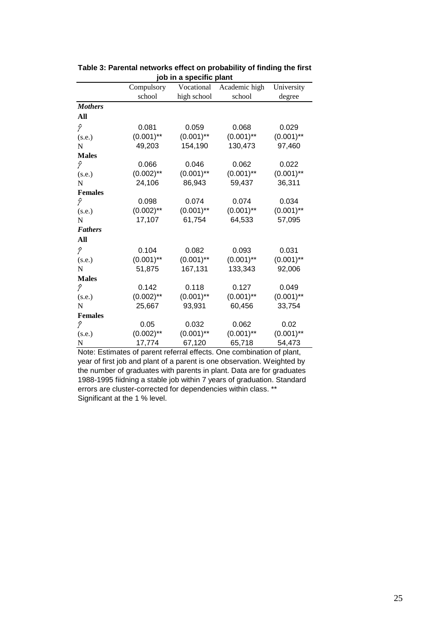|                     |              | <b>ιου τη α ορ<del>ο</del>υπο ριαπ</b> ι |               |              |
|---------------------|--------------|------------------------------------------|---------------|--------------|
|                     | Compulsory   | Vocational                               | Academic high | University   |
|                     | school       | high school                              | school        | degree       |
| <b>Mothers</b>      |              |                                          |               |              |
| All                 |              |                                          |               |              |
| $\hat{\mathcal{V}}$ | 0.081        | 0.059                                    | 0.068         | 0.029        |
| (s.e.)              | $(0.001)$ ** | $(0.001)$ **                             | $(0.001)$ **  | $(0.001)$ ** |
| $\mathbf N$         | 49,203       | 154,190                                  | 130,473       | 97,460       |
| <b>Males</b>        |              |                                          |               |              |
| P                   | 0.066        | 0.046                                    | 0.062         | 0.022        |
| (s.e.)              | $(0.002)$ ** | $(0.001)$ **                             | $(0.001)$ **  | $(0.001)$ ** |
| N                   | 24,106       | 86,943                                   | 59,437        | 36,311       |
| <b>Females</b>      |              |                                          |               |              |
| Ŷ                   | 0.098        | 0.074                                    | 0.074         | 0.034        |
| (s.e.)              | $(0.002)$ ** | $(0.001)$ **                             | $(0.001)$ **  | $(0.001)$ ** |
| $\mathbf N$         | 17,107       | 61,754                                   | 64,533        | 57,095       |
| <b>Fathers</b>      |              |                                          |               |              |
| All                 |              |                                          |               |              |
| $\hat{\mathcal{V}}$ | 0.104        | 0.082                                    | 0.093         | 0.031        |
| (s.e.)              | $(0.001)$ ** | $(0.001)$ **                             | $(0.001)$ **  | $(0.001)$ ** |
| N                   | 51,875       | 167,131                                  | 133,343       | 92,006       |
| <b>Males</b>        |              |                                          |               |              |
| Ŷ                   | 0.142        | 0.118                                    | 0.127         | 0.049        |
| (s.e.)              | $(0.002)$ ** | $(0.001)$ **                             | $(0.001)$ **  | $(0.001)$ ** |
| N                   | 25,667       | 93,931                                   | 60,456        | 33,754       |
| <b>Females</b>      |              |                                          |               |              |
| P                   | 0.05         | 0.032                                    | 0.062         | 0.02         |
| (s.e.)              | $(0.002)$ ** | $(0.001)$ **                             | $(0.001)$ **  | $(0.001)$ ** |
| N                   | 17,774       | 67,120                                   | 65,718        | 54,473       |

**Table 3: Parental networks effect on probability of finding the first job in a specific plant**

Note: Estimates of parent referral effects. One combination of plant, year of first job and plant of a parent is one observation. Weighted by the number of graduates with parents in plant. Data are for graduates 1988-1995 fiidning a stable job within 7 years of graduation. Standard errors are cluster-corrected for dependencies within class. \*\* Significant at the 1 % level.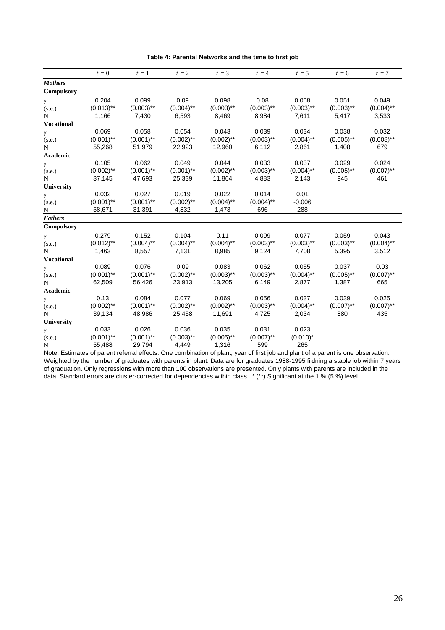| <b>Mothers</b><br>Compulsory<br>0.204<br>0.099<br>0.09<br>0.098<br>0.08<br>0.058<br>0.051<br>γ<br>$(0.013)$ **<br>$(0.003)$ **<br>$(0.004)$ **<br>$(0.003)$ **<br>$(0.003)$ **<br>$(0.003)$ **<br>$(0.003)$ **<br>(s.e.)<br>1,166<br>7,430<br>6,593<br>8,469<br>8,984<br>7,611<br>5,417<br>N<br><b>Vocational</b><br>0.069<br>0.058<br>0.054<br>0.043<br>0.039<br>0.034<br>0.038<br>γ<br>$(0.001)$ **<br>$(0.001)$ **<br>$(0.002)$ **<br>$(0.002)$ **<br>$(0.003)$ **<br>$(0.004)$ **<br>$(0.005)$ **<br>(s.e.) | 0.049<br>$(0.004)$ **<br>3,533<br>0.032 |
|-----------------------------------------------------------------------------------------------------------------------------------------------------------------------------------------------------------------------------------------------------------------------------------------------------------------------------------------------------------------------------------------------------------------------------------------------------------------------------------------------------------------|-----------------------------------------|
|                                                                                                                                                                                                                                                                                                                                                                                                                                                                                                                 |                                         |
|                                                                                                                                                                                                                                                                                                                                                                                                                                                                                                                 |                                         |
|                                                                                                                                                                                                                                                                                                                                                                                                                                                                                                                 |                                         |
|                                                                                                                                                                                                                                                                                                                                                                                                                                                                                                                 |                                         |
|                                                                                                                                                                                                                                                                                                                                                                                                                                                                                                                 |                                         |
|                                                                                                                                                                                                                                                                                                                                                                                                                                                                                                                 |                                         |
|                                                                                                                                                                                                                                                                                                                                                                                                                                                                                                                 |                                         |
|                                                                                                                                                                                                                                                                                                                                                                                                                                                                                                                 | $(0.008)$ **                            |
| 2,861<br>55,268<br>51,979<br>22,923<br>12,960<br>6,112<br>1,408<br>N                                                                                                                                                                                                                                                                                                                                                                                                                                            | 679                                     |
| Academic                                                                                                                                                                                                                                                                                                                                                                                                                                                                                                        |                                         |
| 0.105<br>0.062<br>0.049<br>0.044<br>0.033<br>0.037<br>0.029<br>γ                                                                                                                                                                                                                                                                                                                                                                                                                                                | 0.024                                   |
| $(0.002)$ **<br>$(0.001)$ **<br>$(0.001)$ **<br>$(0.002)$ **<br>$(0.003)$ **<br>$(0.004)$ **<br>$(0.005)$ **<br>(s.e.)                                                                                                                                                                                                                                                                                                                                                                                          | $(0.007)$ **                            |
| 37,145<br>47,693<br>25,339<br>11,864<br>4,883<br>2,143<br>945<br>N                                                                                                                                                                                                                                                                                                                                                                                                                                              | 461                                     |
| University                                                                                                                                                                                                                                                                                                                                                                                                                                                                                                      |                                         |
| 0.022<br>0.032<br>0.027<br>0.019<br>0.014<br>0.01<br>γ                                                                                                                                                                                                                                                                                                                                                                                                                                                          |                                         |
| $(0.001)$ **<br>$(0.001)$ **<br>$(0.002)$ **<br>$(0.004)$ **<br>$(0.004)$ **<br>$-0.006$<br>(s.e.)                                                                                                                                                                                                                                                                                                                                                                                                              |                                         |
| 4,832<br>696<br>288<br>58,671<br>31,391<br>1,473<br>N                                                                                                                                                                                                                                                                                                                                                                                                                                                           |                                         |
| <b>Fathers</b>                                                                                                                                                                                                                                                                                                                                                                                                                                                                                                  |                                         |
| Compulsory                                                                                                                                                                                                                                                                                                                                                                                                                                                                                                      |                                         |
| 0.104<br>0.279<br>0.152<br>0.11<br>0.099<br>0.077<br>0.059<br>γ                                                                                                                                                                                                                                                                                                                                                                                                                                                 | 0.043                                   |
| $(0.012)$ **<br>$(0.004)$ **<br>$(0.004)$ **<br>$(0.004)$ **<br>$(0.003)$ **<br>$(0.003)$ **<br>$(0.003)$ **<br>(s.e.)                                                                                                                                                                                                                                                                                                                                                                                          | $(0.004)$ **                            |
| 7,131<br>9,124<br>7,708<br>5,395<br>1,463<br>8,557<br>8,985<br>N                                                                                                                                                                                                                                                                                                                                                                                                                                                | 3,512                                   |
| <b>Vocational</b>                                                                                                                                                                                                                                                                                                                                                                                                                                                                                               |                                         |
| 0.076<br>0.09<br>0.083<br>0.062<br>0.055<br>0.037<br>0.089<br>γ                                                                                                                                                                                                                                                                                                                                                                                                                                                 | 0.03                                    |
| $(0.003)$ **<br>$(0.003)$ **<br>$(0.001)$ **<br>$(0.001)$ **<br>$(0.002)$ **<br>$(0.004)$ **<br>$(0.005)$ **<br>(s.e.)                                                                                                                                                                                                                                                                                                                                                                                          | $(0.007)$ **                            |
| 62,509<br>56,426<br>23,913<br>13,205<br>6,149<br>2,877<br>1,387<br>N                                                                                                                                                                                                                                                                                                                                                                                                                                            | 665                                     |
| Academic<br>0.084<br>0.077<br>0.069<br>0.056<br>0.037<br>0.039                                                                                                                                                                                                                                                                                                                                                                                                                                                  |                                         |
| 0.13<br>γ<br>$(0.002)$ **<br>$(0.001)$ **<br>$(0.002)$ **<br>$(0.002)$ **<br>$(0.003)$ **<br>$(0.004)$ **<br>$(0.007)$ **                                                                                                                                                                                                                                                                                                                                                                                       | 0.025<br>$(0.007)$ **                   |
| (s.e.)<br>2,034<br>39,134<br>48,986<br>25,458<br>11,691<br>4,725<br>880<br>N                                                                                                                                                                                                                                                                                                                                                                                                                                    | 435                                     |
|                                                                                                                                                                                                                                                                                                                                                                                                                                                                                                                 |                                         |
| University<br>0.033<br>0.026<br>0.036<br>0.035<br>0.031<br>0.023                                                                                                                                                                                                                                                                                                                                                                                                                                                |                                         |
| γ<br>$(0.001)$ **<br>$(0.001)$ **<br>$(0.003)$ **<br>$(0.005)$ **<br>$(0.007)$ **<br>$(0.010)^*$<br>(s.e.)                                                                                                                                                                                                                                                                                                                                                                                                      |                                         |
| 1,316<br>599<br>265<br>55,488<br>29,794<br>4,449<br>$\overline{\mathbf{N}}$                                                                                                                                                                                                                                                                                                                                                                                                                                     |                                         |

#### **Table 4: Parental Networks and the time to first job**

Note: Estimates of parent referral effects. One combination of plant, year of first job and plant of a parent is one observation. Weighted by the number of graduates with parents in plant. Data are for graduates 1988-1995 fiidning a stable job within 7 years of graduation. Only regressions with more than 100 observations are presented. Only plants with parents are included in the data. Standard errors are cluster-corrected for dependencies within class. \* (\*\*) Significant at the 1 % (5 %) level.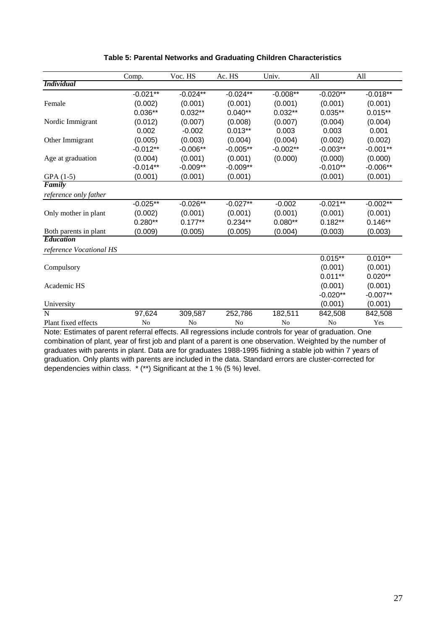|                                                                                                          | Comp.          | Voc. HS        | Ac. HS         | Univ.          | All            | All         |
|----------------------------------------------------------------------------------------------------------|----------------|----------------|----------------|----------------|----------------|-------------|
| <b>Individual</b>                                                                                        |                |                |                |                |                |             |
|                                                                                                          | $-0.021**$     | $-0.024**$     | $-0.024**$     | $-0.008**$     | $-0.020**$     | $-0.018**$  |
| Female                                                                                                   | (0.002)        | (0.001)        | (0.001)        | (0.001)        | (0.001)        | (0.001)     |
|                                                                                                          | $0.036**$      | $0.032**$      | $0.040**$      | $0.032**$      | $0.035**$      | $0.015**$   |
| Nordic Immigrant                                                                                         | (0.012)        | (0.007)        | (0.008)        | (0.007)        | (0.004)        | (0.004)     |
|                                                                                                          | 0.002          | $-0.002$       | $0.013**$      | 0.003          | 0.003          | 0.001       |
| Other Immigrant                                                                                          | (0.005)        | (0.003)        | (0.004)        | (0.004)        | (0.002)        | (0.002)     |
|                                                                                                          | $-0.012**$     | $-0.006**$     | $-0.005**$     | $-0.002**$     | $-0.003**$     | $-0.001**$  |
| Age at graduation                                                                                        | (0.004)        | (0.001)        | (0.001)        | (0.000)        | (0.000)        | (0.000)     |
|                                                                                                          | $-0.014**$     | $-0.009**$     | $-0.009**$     |                | $-0.010**$     | $-0.006**$  |
| $GPA(1-5)$                                                                                               | (0.001)        | (0.001)        | (0.001)        |                | (0.001)        | (0.001)     |
| Family                                                                                                   |                |                |                |                |                |             |
| reference only father                                                                                    |                |                |                |                |                |             |
|                                                                                                          | $-0.025**$     | $-0.026**$     | $-0.027**$     | $-0.002$       | $-0.021**$     | $-0.002***$ |
| Only mother in plant                                                                                     | (0.002)        | (0.001)        | (0.001)        | (0.001)        | (0.001)        | (0.001)     |
|                                                                                                          | $0.280**$      | $0.177**$      | $0.234**$      | $0.080**$      | $0.182**$      | $0.146**$   |
| Both parents in plant                                                                                    | (0.009)        | (0.005)        | (0.005)        | (0.004)        | (0.003)        | (0.003)     |
| <b>Education</b>                                                                                         |                |                |                |                |                |             |
| reference Vocational HS                                                                                  |                |                |                |                |                |             |
|                                                                                                          |                |                |                |                | $0.015***$     | $0.010**$   |
| Compulsory                                                                                               |                |                |                |                | (0.001)        | (0.001)     |
|                                                                                                          |                |                |                |                | $0.011**$      | $0.020**$   |
| Academic HS                                                                                              |                |                |                |                | (0.001)        | (0.001)     |
|                                                                                                          |                |                |                |                | $-0.020**$     | $-0.007**$  |
| University                                                                                               |                |                |                |                | (0.001)        | (0.001)     |
| N                                                                                                        | 97,624         | 309,587        | 252,786        | 182,511        | 842,508        | 842,508     |
| Plant fixed effects                                                                                      | N <sub>o</sub> | N <sub>o</sub> | N <sub>o</sub> | N <sub>o</sub> | N <sub>o</sub> | Yes         |
| Note: Estimates of parent referral effects. All regressions include controls for vear of graduation. One |                |                |                |                |                |             |

**Table 5: Parental Networks and Graduating Children Characteristics**

Note: Estimates of parent referral effects. All regressions include controls for year of graduation. One combination of plant, year of first job and plant of a parent is one observation. Weighted by the number of graduates with parents in plant. Data are for graduates 1988-1995 fiidning a stable job within 7 years of graduation. Only plants with parents are included in the data. Standard errors are cluster-corrected for dependencies within class. \* (\*\*) Significant at the 1 % (5 %) level.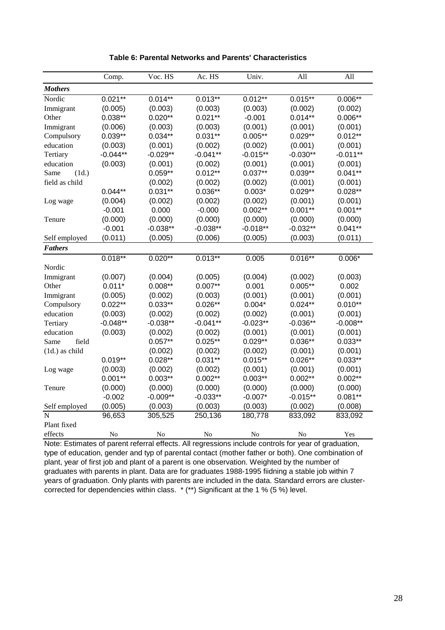|                                         | Comp.      | Voc. HS    | Ac. HS     | Univ.      | All        | All        |
|-----------------------------------------|------------|------------|------------|------------|------------|------------|
| <b>Mothers</b>                          |            |            |            |            |            |            |
| Nordic                                  | $0.021**$  | $0.014**$  | $0.013**$  | $0.012**$  | $0.015***$ | $0.006**$  |
| Immigrant                               | (0.005)    | (0.003)    | (0.003)    | (0.003)    | (0.002)    | (0.002)    |
| Other                                   | $0.038**$  | $0.020**$  | $0.021**$  | $-0.001$   | $0.014**$  | $0.006**$  |
| Immigrant                               | (0.006)    | (0.003)    | (0.003)    | (0.001)    | (0.001)    | (0.001)    |
| Compulsory                              | $0.039**$  | $0.034**$  | $0.031**$  | $0.005**$  | $0.029**$  | $0.012**$  |
| education                               | (0.003)    | (0.001)    | (0.002)    | (0.002)    | (0.001)    | (0.001)    |
| Tertiary                                | $-0.044**$ | $-0.029**$ | $-0.041**$ | $-0.015**$ | $-0.030**$ | $-0.011**$ |
| education                               | (0.003)    | (0.001)    | (0.002)    | (0.001)    | (0.001)    | (0.001)    |
| Same<br>(1d.)                           |            | $0.059**$  | $0.012**$  | $0.037**$  | $0.039**$  | $0.041**$  |
| field as child                          |            | (0.002)    | (0.002)    | (0.002)    | (0.001)    | (0.001)    |
|                                         | $0.044**$  | $0.031**$  | $0.036**$  | $0.003*$   | $0.029**$  | $0.028**$  |
| Log wage                                | (0.004)    | (0.002)    | (0.002)    | (0.002)    | (0.001)    | (0.001)    |
|                                         | $-0.001$   | 0.000      | $-0.000$   | $0.002**$  | $0.001**$  | $0.001**$  |
| Tenure                                  | (0.000)    | (0.000)    | (0.000)    | (0.000)    | (0.000)    | (0.000)    |
|                                         | $-0.001$   | $-0.038**$ | $-0.038**$ | $-0.018**$ | $-0.032**$ | $0.041**$  |
| Self employed                           | (0.011)    | (0.005)    | (0.006)    | (0.005)    | (0.003)    | (0.011)    |
| <b>Fathers</b>                          |            |            |            |            |            |            |
|                                         | $0.018**$  | $0.020***$ | $0.013**$  | 0.005      | $0.016***$ | $0.006*$   |
| Nordic                                  |            |            |            |            |            |            |
| Immigrant                               | (0.007)    | (0.004)    | (0.005)    | (0.004)    | (0.002)    | (0.003)    |
| Other                                   | $0.011*$   | $0.008**$  | $0.007**$  | 0.001      | $0.005**$  | 0.002      |
| Immigrant                               | (0.005)    | (0.002)    | (0.003)    | (0.001)    | (0.001)    | (0.001)    |
| Compulsory                              | $0.022**$  | $0.033**$  | $0.026**$  | $0.004*$   | $0.024**$  | $0.010**$  |
| education                               | (0.003)    | (0.002)    | (0.002)    | (0.002)    | (0.001)    | (0.001)    |
| Tertiary                                | $-0.048**$ | $-0.038**$ | $-0.041**$ | $-0.023**$ | $-0.036**$ | $-0.008**$ |
| education                               | (0.003)    | (0.002)    | (0.002)    | (0.001)    | (0.001)    | (0.001)    |
| Same<br>field                           |            | $0.057**$  | $0.025**$  | $0.029**$  | $0.036**$  | $0.033**$  |
| $(1d.)$ as child                        |            | (0.002)    | (0.002)    | (0.002)    | (0.001)    | (0.001)    |
|                                         | $0.019**$  | $0.028**$  | $0.031**$  | $0.015**$  | $0.026**$  | $0.033**$  |
| Log wage                                | (0.003)    | (0.002)    | (0.002)    | (0.001)    | (0.001)    | (0.001)    |
|                                         | $0.001**$  | $0.003**$  | $0.002**$  | $0.003**$  | $0.002**$  | $0.002**$  |
| Tenure                                  | (0.000)    | (0.000)    | (0.000)    | (0.000)    | (0.000)    | (0.000)    |
|                                         | $-0.002$   | $-0.009**$ | $-0.033**$ | $-0.007*$  | $-0.015**$ | $0.081**$  |
| Self employed                           | (0.005)    | (0.003)    | (0.003)    | (0.003)    | (0.002)    | (0.008)    |
| N                                       | 96,653     | 305,525    | 250,136    | 180,778    | 833,092    | 833,092    |
| Plant fixed                             |            |            |            |            |            |            |
| effects<br>$8.1 - 4.$<br>$\blacksquare$ | No         | No         | No         | No         | No         | Yes        |

**Table 6: Parental Networks and Parents' Characteristics**

Note: Estimates of parent referral effects. All regressions include controls for year of graduation, type of education, gender and typ of parental contact (mother father or both). One combination of plant, year of first job and plant of a parent is one observation. Weighted by the number of graduates with parents in plant. Data are for graduates 1988-1995 fiidning a stable job within 7 years of graduation. Only plants with parents are included in the data. Standard errors are clustercorrected for dependencies within class. \* (\*\*) Significant at the 1 % (5 %) level.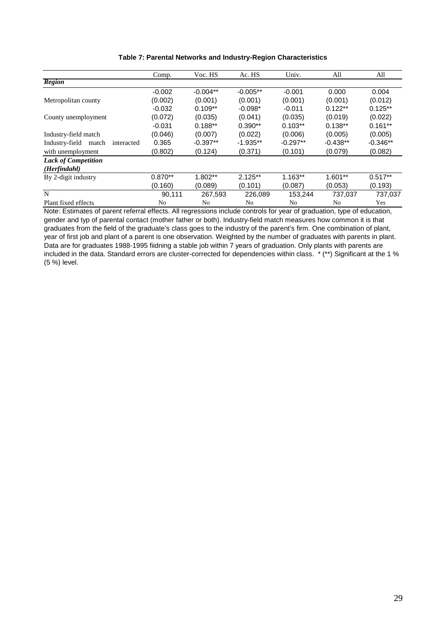| Table 7: Parental Networks and Industry-Region Characteristics |  |
|----------------------------------------------------------------|--|
|----------------------------------------------------------------|--|

|                                       | Comp.          | Voc. HS    | Ac. HS     | Univ.          | All        | All        |
|---------------------------------------|----------------|------------|------------|----------------|------------|------------|
| <b>Region</b>                         |                |            |            |                |            |            |
|                                       | $-0.002$       | $-0.004**$ | $-0.005**$ | $-0.001$       | 0.000      | 0.004      |
| Metropolitan county                   | (0.002)        | (0.001)    | (0.001)    | (0.001)        | (0.001)    | (0.012)    |
|                                       | $-0.032$       | $0.109**$  | $-0.098*$  | $-0.011$       | $0.122**$  | $0.125**$  |
| County unemployment                   | (0.072)        | (0.035)    | (0.041)    | (0.035)        | (0.019)    | (0.022)    |
|                                       | $-0.031$       | $0.188**$  | $0.390**$  | $0.103**$      | $0.138**$  | $0.161**$  |
| Industry-field match                  | (0.046)        | (0.007)    | (0.022)    | (0.006)        | (0.005)    | (0.005)    |
| Industry-field<br>match<br>interacted | 0.365          | $-0.397**$ | $-1.935**$ | $-0.297**$     | $-0.438**$ | $-0.346**$ |
| with unemployment                     | (0.802)        | (0.124)    | (0.371)    | (0.101)        | (0.079)    | (0.082)    |
| <b>Lack of Competition</b>            |                |            |            |                |            |            |
| (Herfindahl)                          |                |            |            |                |            |            |
| By 2-digit industry                   | $0.870**$      | 1.802**    | $2.125**$  | $1.163**$      | $1.601**$  | $0.517**$  |
|                                       | (0.160)        | (0.089)    | (0.101)    | (0.087)        | (0.053)    | (0.193)    |
| N                                     | 90,111         | 267,593    | 226,089    | 153,244        | 737,037    | 737,037    |
| Plant fixed effects                   | N <sub>o</sub> | No         | No         | N <sub>o</sub> | No         | Yes        |

Note: Estimates of parent referral effects. All regressions include controls for year of graduation, type of education, gender and typ of parental contact (mother father or both). Industry-field match measures how common it is that graduates from the field of the graduate's class goes to the industry of the parent's firm. One combination of plant, year of first job and plant of a parent is one observation. Weighted by the number of graduates with parents in plant. Data are for graduates 1988-1995 fiidning a stable job within 7 years of graduation. Only plants with parents are included in the data. Standard errors are cluster-corrected for dependencies within class. \* (\*\*) Significant at the 1 % (5 %) level.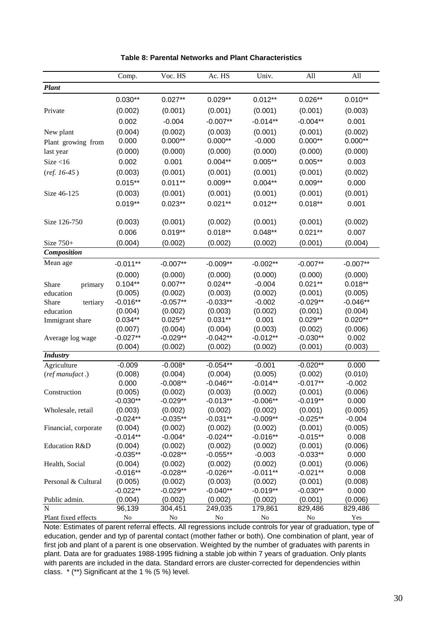|                      | Comp.            | Voc. HS              | Ac. HS               | Univ.               | All                  | All                  |
|----------------------|------------------|----------------------|----------------------|---------------------|----------------------|----------------------|
| <b>Plant</b>         |                  |                      |                      |                     |                      |                      |
|                      | $0.030**$        | $0.027**$            | $0.029**$            | $0.012**$           | $0.026**$            | $0.010**$            |
| Private              | (0.002)          | (0.001)              | (0.001)              | (0.001)             | (0.001)              | (0.003)              |
|                      | 0.002            | $-0.004$             | $-0.007**$           | $-0.014**$          | $-0.004**$           | 0.001                |
|                      |                  |                      |                      |                     |                      |                      |
| New plant            | (0.004)<br>0.000 | (0.002)<br>$0.000**$ | (0.003)<br>$0.000**$ | (0.001)<br>$-0.000$ | (0.001)<br>$0.000**$ | (0.002)<br>$0.000**$ |
| Plant growing from   |                  |                      |                      |                     |                      |                      |
| last year            | (0.000)          | (0.000)              | (0.000)              | (0.000)             | (0.000)              | (0.000)              |
| Size < 16            | 0.002            | 0.001                | $0.004**$            | $0.005**$           | $0.005**$            | 0.003                |
| $(ref. 16-45)$       | (0.003)          | (0.001)              | (0.001)              | (0.001)             | (0.001)              | (0.002)              |
|                      | $0.015**$        | $0.011**$            | $0.009**$            | $0.004**$           | $0.009**$            | 0.000                |
| Size 46-125          | (0.003)          | (0.001)              | (0.001)              | (0.001)             | (0.001)              | (0.001)              |
|                      | $0.019**$        | $0.023**$            | $0.021**$            | $0.012**$           | $0.018**$            | 0.001                |
|                      |                  |                      |                      |                     |                      |                      |
| Size 126-750         | (0.003)          | (0.001)              | (0.002)              | (0.001)             | (0.001)              | (0.002)              |
|                      | 0.006            | $0.019**$            | $0.018**$            | $0.048**$           | $0.021**$            | 0.007                |
| Size 750+            | (0.004)          | (0.002)              | (0.002)              | (0.002)             | (0.001)              | (0.004)              |
| Composition          |                  |                      |                      |                     |                      |                      |
| Mean age             | $-0.011**$       | $-0.007**$           | $-0.009**$           | $-0.002**$          | $-0.007**$           | $-0.007**$           |
|                      |                  |                      |                      |                     |                      |                      |
|                      | (0.000)          | (0.000)              | (0.000)              | (0.000)             | (0.000)              | (0.000)              |
| Share<br>primary     | $0.104**$        | $0.007**$            | $0.024**$            | $-0.004$            | $0.021**$            | $0.018**$            |
| education            | (0.005)          | (0.002)              | (0.003)              | (0.002)             | (0.001)              | (0.005)              |
| Share<br>tertiary    | $-0.016**$       | $-0.057**$           | $-0.033**$           | $-0.002$            | $-0.029**$           | $-0.046**$           |
| education            | (0.004)          | (0.002)              | (0.003)              | (0.002)             | (0.001)              | (0.004)              |
| Immigrant share      | $0.034**$        | $0.025**$            | $0.031**$            | 0.001               | $0.029**$            | $0.020**$            |
|                      | (0.007)          | (0.004)              | (0.004)              | (0.003)             | (0.002)              | (0.006)              |
| Average log wage     | $-0.027**$       | $-0.029**$           | $-0.042**$           | $-0.012**$          | $-0.030**$           | 0.002                |
| <b>Industry</b>      | (0.004)          | (0.002)              | (0.002)              | (0.002)             | (0.001)              | (0.003)              |
|                      | $-0.009$         | $-0.008*$            | $-0.054**$           | $-0.001$            | $-0.020**$           | 0.000                |
| Agriculture          | (0.008)          | (0.004)              | (0.004)              | (0.005)             | (0.002)              | (0.010)              |
| (ref manufact.)      | 0.000            | $-0.008**$           | $-0.046**$           | $-0.014**$          | $-0.017**$           | $-0.002$             |
| Construction         | (0.005)          | (0.002)              | (0.003)              | (0.002)             | (0.001)              | (0.006)              |
|                      | $-0.030**$       | $-0.029**$           | $-0.013**$           | $-0.006**$          | $-0.019**$           | 0.000                |
| Wholesale, retail    | (0.003)          | (0.002)              | (0.002)              | (0.002)             | (0.001)              | (0.005)              |
|                      | $-0.024**$       | $-0.035**$           | $-0.031**$           | $-0.009**$          | $-0.025**$           | $-0.004$             |
| Financial, corporate | (0.004)          | (0.002)              | (0.002)              | (0.002)             | (0.001)              | (0.005)              |
|                      | $-0.014**$       | $-0.004*$            | $-0.024**$           | $-0.016**$          | $-0.015**$           | 0.008                |
| Education R&D        | (0.004)          | (0.002)              | (0.002)              | (0.002)             | (0.001)              | (0.006)              |
|                      | $-0.035**$       | $-0.028**$           | $-0.055**$           | $-0.003$            | $-0.033**$           | 0.000                |
| Health, Social       | (0.004)          | (0.002)              | (0.002)              | (0.002)             | (0.001)              | (0.006)              |
|                      | $-0.016**$       | $-0.028**$           | $-0.026**$           | $-0.011**$          | $-0.021**$           | 0.008                |
| Personal & Cultural  | (0.005)          | (0.002)              | (0.003)              | (0.002)             | (0.001)              | (0.008)              |
|                      | $-0.022**$       | $-0.029**$           | $-0.040**$           | $-0.019**$          | $-0.030**$           | 0.000                |
| Public admin.        | (0.004)          | (0.002)              | (0.002)              | (0.002)             | (0.001)              | (0.006)              |
| N                    | 96,139           | 304,451              | 249,035              | 179,861             | 829,486              | 829,486              |
| Plant fixed effects  | No               | No                   | No                   | No                  | No                   | Yes                  |

|  |  | Table 8: Parental Networks and Plant Characteristics |
|--|--|------------------------------------------------------|
|  |  |                                                      |

Note: Estimates of parent referral effects. All regressions include controls for year of graduation, type of education, gender and typ of parental contact (mother father or both). One combination of plant, year of first job and plant of a parent is one observation. Weighted by the number of graduates with parents in plant. Data are for graduates 1988-1995 fiidning a stable job within 7 years of graduation. Only plants with parents are included in the data. Standard errors are cluster-corrected for dependencies within class. \* (\*\*) Significant at the 1 % (5 %) level.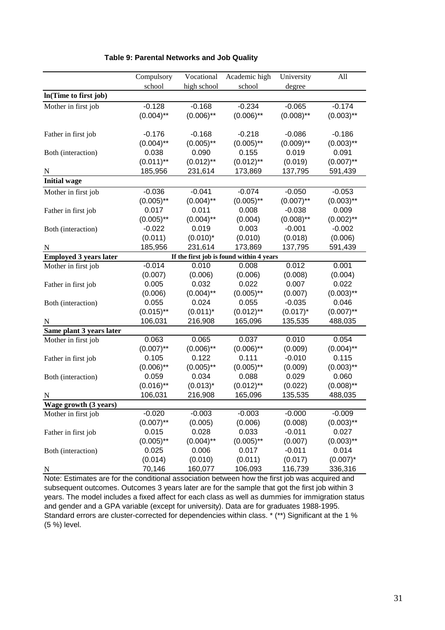|                               | Compulsory   | Vocational   | Academic high                            | University   | All          |
|-------------------------------|--------------|--------------|------------------------------------------|--------------|--------------|
|                               | school       | high school  | school                                   | degree       |              |
| In(Time to first job)         |              |              |                                          |              |              |
| Mother in first job           | $-0.128$     | $-0.168$     | $-0.234$                                 | $-0.065$     | $-0.174$     |
|                               | $(0.004)$ ** | $(0.006)$ ** | $(0.006)$ **                             | $(0.008)$ ** | $(0.003)$ ** |
|                               |              |              |                                          |              |              |
| Father in first job           | $-0.176$     | $-0.168$     | $-0.218$                                 | $-0.086$     | $-0.186$     |
|                               | $(0.004)$ ** | $(0.005)$ ** | $(0.005)$ **                             | $(0.009)$ ** | $(0.003)$ ** |
| Both (interaction)            | 0.038        | 0.090        | 0.155                                    | 0.019        | 0.091        |
|                               | $(0.011)$ ** | $(0.012)$ ** | $(0.012)$ **                             | (0.019)      | $(0.007)$ ** |
| N                             | 185,956      | 231,614      | 173,869                                  | 137,795      | 591,439      |
| <b>Initial wage</b>           |              |              |                                          |              |              |
| Mother in first job           | $-0.036$     | $-0.041$     | $-0.074$                                 | $-0.050$     | $-0.053$     |
|                               | $(0.005)$ ** | $(0.004)$ ** | $(0.005)$ **                             | $(0.007)$ ** | $(0.003)$ ** |
| Father in first job           | 0.017        | 0.011        | 0.008                                    | $-0.038$     | 0.009        |
|                               | $(0.005)$ ** | $(0.004)$ ** | (0.004)                                  | $(0.008)$ ** | $(0.002)$ ** |
| Both (interaction)            | $-0.022$     | 0.019        | 0.003                                    | $-0.001$     | $-0.002$     |
|                               | (0.011)      | $(0.010)^*$  | (0.010)                                  | (0.018)      | (0.006)      |
| N                             | 185,956      | 231,614      | 173,869                                  | 137,795      | 591,439      |
| <b>Employed 3 years later</b> |              |              | If the first job is found within 4 years |              |              |
| Mother in first job           | $-0.014$     | 0.010        | 0.008                                    | 0.012        | 0.001        |
|                               | (0.007)      | (0.006)      | (0.006)                                  | (0.008)      | (0.004)      |
| Father in first job           | 0.005        | 0.032        | 0.022                                    | 0.007        | 0.022        |
|                               | (0.006)      | $(0.004)$ ** | $(0.005)$ **                             | (0.007)      | $(0.003)$ ** |
| Both (interaction)            | 0.055        | 0.024        | 0.055                                    | $-0.035$     | 0.046        |
|                               | $(0.015)$ ** | $(0.011)^*$  | $(0.012)$ **                             | $(0.017)^*$  | $(0.007)$ ** |
| $\overline{\mathbf{N}}$       | 106,031      | 216,908      | 165,096                                  | 135,535      | 488,035      |
| Same plant 3 years later      |              |              |                                          |              |              |
| Mother in first job           | 0.063        | 0.065        | 0.037                                    | 0.010        | 0.054        |
|                               | $(0.007)$ ** | $(0.006)$ ** | $(0.006)$ **                             | (0.009)      | $(0.004)$ ** |
| Father in first job           | 0.105        | 0.122        | 0.111                                    | $-0.010$     | 0.115        |
|                               | $(0.006)$ ** | $(0.005)$ ** | $(0.005)$ **                             | (0.009)      | $(0.003)$ ** |
| Both (interaction)            | 0.059        | 0.034        | 0.088                                    | 0.029        | 0.060        |
|                               | $(0.016)$ ** | $(0.013)^*$  | $(0.012)$ **                             | (0.022)      | $(0.008)$ ** |
| N                             | 106,031      | 216,908      | 165,096                                  | 135,535      | 488,035      |
| Wage growth (3 years)         |              |              |                                          |              |              |
| Mother in first job           | $-0.020$     | $-0.003$     | $-0.003$                                 | $-0.000$     | $-0.009$     |
|                               | $(0.007)$ ** | (0.005)      | (0.006)                                  | (0.008)      | $(0.003)$ ** |
| Father in first job           | 0.015        | 0.028        | 0.033                                    | $-0.011$     | 0.027        |
|                               | $(0.005)$ ** | $(0.004)$ ** | $(0.005)$ **                             | (0.007)      | $(0.003)$ ** |
| Both (interaction)            | 0.025        | 0.006        | 0.017                                    | $-0.011$     | 0.014        |
|                               | (0.014)      | (0.010)      | (0.011)                                  | (0.017)      | $(0.007)^*$  |
| N                             | 70,146       | 160,077      | 106,093                                  | 116,739      | 336,316      |

#### **Table 9: Parental Networks and Job Quality**

Note: Estimates are for the conditional association between how the first job was acquired and subsequent outcomes. Outcomes 3 years later are for the sample that got the first job within 3 years. The model includes a fixed affect for each class as well as dummies for immigration status and gender and a GPA variable (except for university). Data are for graduates 1988-1995. Standard errors are cluster-corrected for dependencies within class. \* (\*\*) Significant at the 1 % (5 %) level.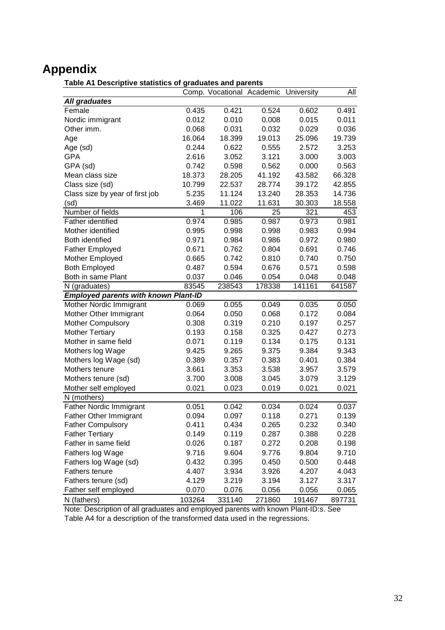# **Appendix**

#### **Table A1 Descriptive statistics of graduates and parents**

|                                             |        | Comp. Vocational Academic University |        |        | All    |
|---------------------------------------------|--------|--------------------------------------|--------|--------|--------|
| <b>All graduates</b>                        |        |                                      |        |        |        |
| Female                                      | 0.435  | 0.421                                | 0.524  | 0.602  | 0.491  |
| Nordic immigrant                            | 0.012  | 0.010                                | 0.008  | 0.015  | 0.011  |
| Other imm.                                  | 0.068  | 0.031                                | 0.032  | 0.029  | 0.036  |
| Age                                         | 16.064 | 18.399                               | 19.013 | 25.096 | 19.739 |
| Age (sd)                                    | 0.244  | 0.622                                | 0.555  | 2.572  | 3.253  |
| <b>GPA</b>                                  | 2.616  | 3.052                                | 3.121  | 3.000  | 3.003  |
| GPA (sd)                                    | 0.742  | 0.598                                | 0.562  | 0.000  | 0.563  |
| Mean class size                             | 18.373 | 28.205                               | 41.192 | 43.582 | 66.328 |
| Class size (sd)                             | 10.799 | 22.537                               | 28.774 | 39.172 | 42.855 |
| Class size by year of first job             | 5.235  | 11.124                               | 13.240 | 28.353 | 14.736 |
| (sd)                                        | 3.469  | 11.022                               | 11.631 | 30.303 | 18.558 |
| Number of fields                            | 1      | 106                                  | 25     | 321    | 453    |
| Father identified                           | 0.974  | 0.985                                | 0.987  | 0.973  | 0.981  |
| Mother identified                           | 0.995  | 0.998                                | 0.998  | 0.983  | 0.994  |
| <b>Both identified</b>                      | 0.971  | 0.984                                | 0.986  | 0.972  | 0.980  |
| <b>Father Employed</b>                      | 0.671  | 0.762                                | 0.804  | 0.691  | 0.746  |
| Mother Employed                             | 0.665  | 0.742                                | 0.810  | 0.740  | 0.750  |
| <b>Both Employed</b>                        | 0.487  | 0.594                                | 0.676  | 0.571  | 0.598  |
| Both in same Plant                          | 0.037  | 0.046                                | 0.054  | 0.048  | 0.048  |
| N (graduates)                               | 83545  | 238543                               | 178338 | 141161 | 641587 |
| <b>Employed parents with known Plant-ID</b> |        |                                      |        |        |        |
| Mother Nordic Immigrant                     | 0.069  | 0.055                                | 0.049  | 0.035  | 0.050  |
| Mother Other Immigrant                      | 0.064  | 0.050                                | 0.068  | 0.172  | 0.084  |
| <b>Mother Compulsory</b>                    | 0.308  | 0.319                                | 0.210  | 0.197  | 0.257  |
| <b>Mother Tertiary</b>                      | 0.193  | 0.158                                | 0.325  | 0.427  | 0.273  |
| Mother in same field                        | 0.071  | 0.119                                | 0.134  | 0.175  | 0.131  |
| Mothers log Wage                            | 9.425  | 9.265                                | 9.375  | 9.384  | 9.343  |
| Mothers log Wage (sd)                       | 0.389  | 0.357                                | 0.383  | 0.401  | 0.384  |
| Mothers tenure                              | 3.661  | 3.353                                | 3.538  | 3.957  | 3.579  |
| Mothers tenure (sd)                         | 3.700  | 3.008                                | 3.045  | 3.079  | 3.129  |
| Mother self employed                        | 0.021  | 0.023                                | 0.019  | 0.021  | 0.021  |
| N (mothers)                                 |        |                                      |        |        |        |
| Father Nordic Immigrant                     | 0.051  | 0.042                                | 0.034  | 0.024  | 0.037  |
| <b>Father Other Immigrant</b>               | 0.094  | 0.097                                | 0.118  | 0.271  | 0.139  |
| <b>Father Compulsory</b>                    | 0.411  | 0.434                                | 0.265  | 0.232  | 0.340  |
| <b>Father Tertiary</b>                      | 0.149  | 0.119                                | 0.287  | 0.388  | 0.228  |
| Father in same field                        | 0.026  | 0.187                                | 0.272  | 0.208  | 0.198  |
| Fathers log Wage                            | 9.716  | 9.604                                | 9.776  | 9.804  | 9.710  |
| Fathers log Wage (sd)                       | 0.432  | 0.395                                | 0.450  | 0.500  | 0.448  |
| Fathers tenure                              | 4.407  | 3.934                                | 3.926  | 4.207  | 4.043  |
| Fathers tenure (sd)                         | 4.129  | 3.219                                | 3.194  | 3.127  | 3.317  |
| Father self employed                        | 0.070  | 0.076                                | 0.056  | 0.056  | 0.065  |
| N (fathers)                                 | 103264 | 331140                               | 271860 | 191467 | 897731 |

Note: Description of all graduates and employed parents with known Plant-ID:s. See Table A4 for a description of the transformed data used in the regressions.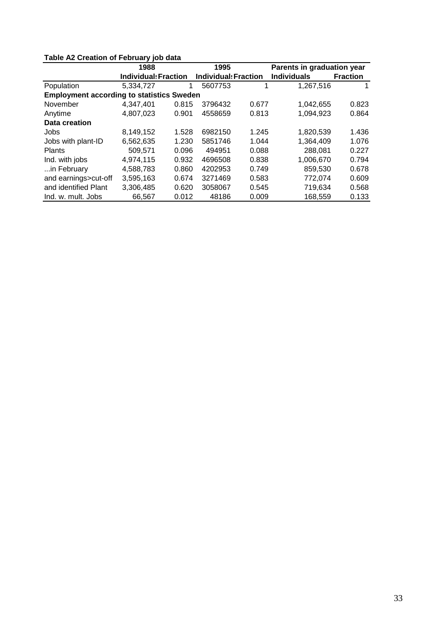| <b>TADIC AL OTCANON OF FOUNDATY JOD GAIG</b>     |                             |       |                             |       |                            |                 |  |  |
|--------------------------------------------------|-----------------------------|-------|-----------------------------|-------|----------------------------|-----------------|--|--|
|                                                  | 1988                        |       | 1995                        |       | Parents in graduation year |                 |  |  |
|                                                  | <b>Individual: Fraction</b> |       | <b>Individual: Fraction</b> |       | <b>Individuals</b>         | <b>Fraction</b> |  |  |
| Population                                       | 5,334,727                   | 1     | 5607753                     |       | 1.267.516                  |                 |  |  |
| <b>Employment according to statistics Sweden</b> |                             |       |                             |       |                            |                 |  |  |
| November                                         | 4.347.401                   | 0.815 | 3796432                     | 0.677 | 1,042,655                  | 0.823           |  |  |
| Anytime                                          | 4,807,023                   | 0.901 | 4558659                     | 0.813 | 1,094,923                  | 0.864           |  |  |
| Data creation                                    |                             |       |                             |       |                            |                 |  |  |
| Jobs                                             | 8,149,152                   | 1.528 | 6982150                     | 1.245 | 1,820,539                  | 1.436           |  |  |
| Jobs with plant-ID                               | 6.562.635                   | 1.230 | 5851746                     | 1.044 | 1,364,409                  | 1.076           |  |  |
| <b>Plants</b>                                    | 509.571                     | 0.096 | 494951                      | 0.088 | 288,081                    | 0.227           |  |  |
| Ind. with jobs                                   | 4,974,115                   | 0.932 | 4696508                     | 0.838 | 1,006,670                  | 0.794           |  |  |
| in February                                      | 4.588.783                   | 0.860 | 4202953                     | 0.749 | 859.530                    | 0.678           |  |  |
| and earnings>cut-off                             | 3.595.163                   | 0.674 | 3271469                     | 0.583 | 772,074                    | 0.609           |  |  |
| and identified Plant                             | 3.306.485                   | 0.620 | 3058067                     | 0.545 | 719,634                    | 0.568           |  |  |
| Ind. w. mult. Jobs                               | 66.567                      | 0.012 | 48186                       | 0.009 | 168.559                    | 0.133           |  |  |

#### **Table A2 Creation of February job data**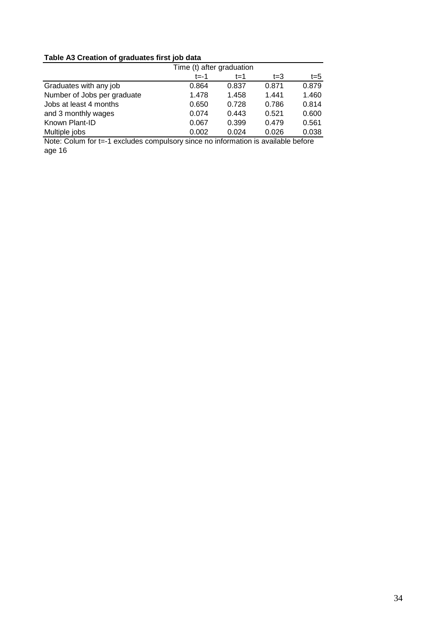### **Table A3 Creation of graduates first job data**

|                             | Time (t) after graduation |       |         |         |
|-----------------------------|---------------------------|-------|---------|---------|
|                             | $t = -1$                  | $t=1$ | $t = 3$ | $t = 5$ |
| Graduates with any job      | 0.864                     | 0.837 | 0.871   | 0.879   |
| Number of Jobs per graduate | 1.478                     | 1.458 | 1.441   | 1.460   |
| Jobs at least 4 months      | 0.650                     | 0.728 | 0.786   | 0.814   |
| and 3 monthly wages         | 0.074                     | 0.443 | 0.521   | 0.600   |
| Known Plant-ID              | 0.067                     | 0.399 | 0.479   | 0.561   |
| Multiple jobs               | 0.002                     | 0.024 | 0.026   | 0.038   |

Note: Colum for t=-1 excludes compulsory since no information is available before age 16